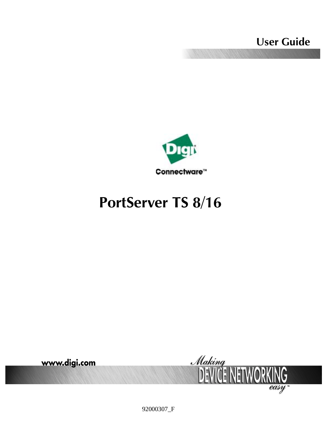**User Guide**



# **PortServer TS 8/16**



92000307\_F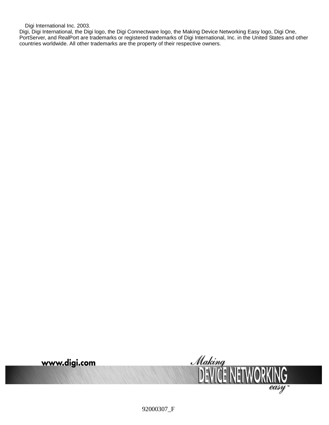Digi International Inc. 2003.

Digi, Digi International, the Digi logo, the Digi Connectware logo, the Making Device Networking Easy logo, Digi One, PortServer, and RealPort are trademarks or registered trademarks of Digi International, Inc. in the United States and other countries worldwide. All other trademarks are the property of their respective owners.



92000307\_F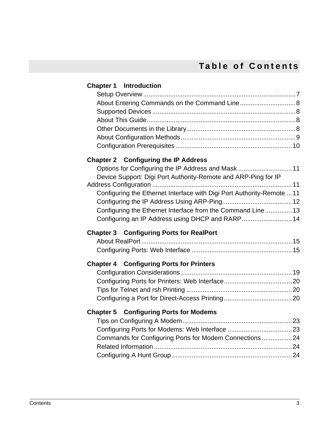# **Table of Contents**

| <b>Chapter 1 Introduction</b>                                          |  |
|------------------------------------------------------------------------|--|
|                                                                        |  |
|                                                                        |  |
|                                                                        |  |
|                                                                        |  |
|                                                                        |  |
|                                                                        |  |
|                                                                        |  |
| <b>Chapter 2 Configuring the IP Address</b>                            |  |
| Options for Configuring the IP Address and Mask  11                    |  |
| Device Support: Digi Port Authority-Remote and ARP-Ping for IP         |  |
| Configuring the Ethernet Interface with Digi Port Authority-Remote  11 |  |
|                                                                        |  |
| Configuring the Ethernet Interface from the Command Line 13            |  |
| Configuring an IP Address using DHCP and RARP 14                       |  |
| <b>Chapter 3 Configuring Ports for RealPort</b>                        |  |
|                                                                        |  |
|                                                                        |  |
| <b>Chapter 4 Configuring Ports for Printers</b>                        |  |
|                                                                        |  |
|                                                                        |  |
|                                                                        |  |
|                                                                        |  |
| <b>Chapter 5 Configuring Ports for Modems</b>                          |  |
|                                                                        |  |
|                                                                        |  |
| Commands for Configuring Ports for Modem Connections24                 |  |
|                                                                        |  |
|                                                                        |  |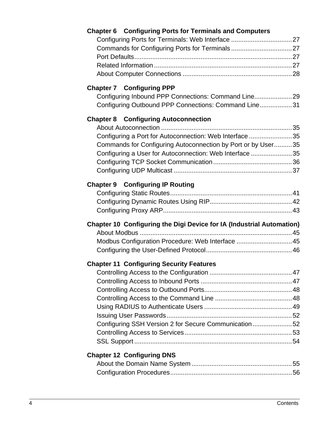| <b>Chapter 7 Configuring PPP</b><br>Configuring Inbound PPP Connections: Command Line 29<br>Configuring Outbound PPP Connections: Command Line31<br><b>Chapter 8 Configuring Autoconnection</b><br>Configuring a Port for Autoconnection: Web Interface35<br>Commands for Configuring Autoconnection by Port or by User35<br>Configuring a User for Autoconnection: Web Interface 35<br><b>Chapter 9 Configuring IP Routing</b><br>Chapter 10 Configuring the Digi Device for IA (Industrial Automation)<br>Modbus Configuration Procedure: Web Interface  45<br><b>Chapter 11 Configuring Security Features</b><br>Configuring SSH Version 2 for Secure Communication52<br><b>Chapter 12 Configuring DNS</b> | <b>Chapter 6 Configuring Ports for Terminals and Computers</b> |
|---------------------------------------------------------------------------------------------------------------------------------------------------------------------------------------------------------------------------------------------------------------------------------------------------------------------------------------------------------------------------------------------------------------------------------------------------------------------------------------------------------------------------------------------------------------------------------------------------------------------------------------------------------------------------------------------------------------|----------------------------------------------------------------|
|                                                                                                                                                                                                                                                                                                                                                                                                                                                                                                                                                                                                                                                                                                               |                                                                |
|                                                                                                                                                                                                                                                                                                                                                                                                                                                                                                                                                                                                                                                                                                               |                                                                |
|                                                                                                                                                                                                                                                                                                                                                                                                                                                                                                                                                                                                                                                                                                               |                                                                |
|                                                                                                                                                                                                                                                                                                                                                                                                                                                                                                                                                                                                                                                                                                               |                                                                |
|                                                                                                                                                                                                                                                                                                                                                                                                                                                                                                                                                                                                                                                                                                               |                                                                |
|                                                                                                                                                                                                                                                                                                                                                                                                                                                                                                                                                                                                                                                                                                               |                                                                |
|                                                                                                                                                                                                                                                                                                                                                                                                                                                                                                                                                                                                                                                                                                               |                                                                |
|                                                                                                                                                                                                                                                                                                                                                                                                                                                                                                                                                                                                                                                                                                               |                                                                |
|                                                                                                                                                                                                                                                                                                                                                                                                                                                                                                                                                                                                                                                                                                               |                                                                |
|                                                                                                                                                                                                                                                                                                                                                                                                                                                                                                                                                                                                                                                                                                               |                                                                |
|                                                                                                                                                                                                                                                                                                                                                                                                                                                                                                                                                                                                                                                                                                               |                                                                |
|                                                                                                                                                                                                                                                                                                                                                                                                                                                                                                                                                                                                                                                                                                               |                                                                |
|                                                                                                                                                                                                                                                                                                                                                                                                                                                                                                                                                                                                                                                                                                               |                                                                |
|                                                                                                                                                                                                                                                                                                                                                                                                                                                                                                                                                                                                                                                                                                               |                                                                |
|                                                                                                                                                                                                                                                                                                                                                                                                                                                                                                                                                                                                                                                                                                               |                                                                |
|                                                                                                                                                                                                                                                                                                                                                                                                                                                                                                                                                                                                                                                                                                               |                                                                |
|                                                                                                                                                                                                                                                                                                                                                                                                                                                                                                                                                                                                                                                                                                               |                                                                |
|                                                                                                                                                                                                                                                                                                                                                                                                                                                                                                                                                                                                                                                                                                               |                                                                |
|                                                                                                                                                                                                                                                                                                                                                                                                                                                                                                                                                                                                                                                                                                               |                                                                |
|                                                                                                                                                                                                                                                                                                                                                                                                                                                                                                                                                                                                                                                                                                               |                                                                |
|                                                                                                                                                                                                                                                                                                                                                                                                                                                                                                                                                                                                                                                                                                               |                                                                |
|                                                                                                                                                                                                                                                                                                                                                                                                                                                                                                                                                                                                                                                                                                               |                                                                |
|                                                                                                                                                                                                                                                                                                                                                                                                                                                                                                                                                                                                                                                                                                               |                                                                |
|                                                                                                                                                                                                                                                                                                                                                                                                                                                                                                                                                                                                                                                                                                               |                                                                |
|                                                                                                                                                                                                                                                                                                                                                                                                                                                                                                                                                                                                                                                                                                               |                                                                |
|                                                                                                                                                                                                                                                                                                                                                                                                                                                                                                                                                                                                                                                                                                               |                                                                |
|                                                                                                                                                                                                                                                                                                                                                                                                                                                                                                                                                                                                                                                                                                               |                                                                |
|                                                                                                                                                                                                                                                                                                                                                                                                                                                                                                                                                                                                                                                                                                               |                                                                |
|                                                                                                                                                                                                                                                                                                                                                                                                                                                                                                                                                                                                                                                                                                               |                                                                |
|                                                                                                                                                                                                                                                                                                                                                                                                                                                                                                                                                                                                                                                                                                               |                                                                |
|                                                                                                                                                                                                                                                                                                                                                                                                                                                                                                                                                                                                                                                                                                               |                                                                |
|                                                                                                                                                                                                                                                                                                                                                                                                                                                                                                                                                                                                                                                                                                               |                                                                |
|                                                                                                                                                                                                                                                                                                                                                                                                                                                                                                                                                                                                                                                                                                               |                                                                |
|                                                                                                                                                                                                                                                                                                                                                                                                                                                                                                                                                                                                                                                                                                               |                                                                |
|                                                                                                                                                                                                                                                                                                                                                                                                                                                                                                                                                                                                                                                                                                               |                                                                |
|                                                                                                                                                                                                                                                                                                                                                                                                                                                                                                                                                                                                                                                                                                               |                                                                |
|                                                                                                                                                                                                                                                                                                                                                                                                                                                                                                                                                                                                                                                                                                               |                                                                |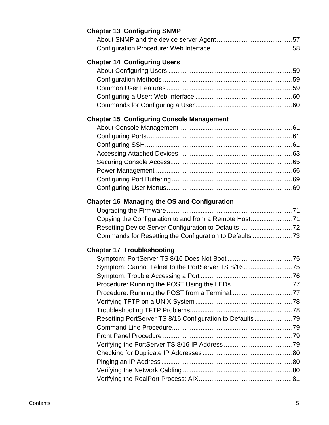| <b>Chapter 13 Configuring SNMP</b>                       |  |
|----------------------------------------------------------|--|
|                                                          |  |
|                                                          |  |
| <b>Chapter 14 Configuring Users</b>                      |  |
|                                                          |  |
|                                                          |  |
|                                                          |  |
|                                                          |  |
|                                                          |  |
|                                                          |  |
| <b>Chapter 15 Configuring Console Management</b>         |  |
|                                                          |  |
|                                                          |  |
|                                                          |  |
|                                                          |  |
|                                                          |  |
|                                                          |  |
|                                                          |  |
|                                                          |  |
| Chapter 16 Managing the OS and Configuration             |  |
|                                                          |  |
| Copying the Configuration to and from a Remote Host71    |  |
| Resetting Device Server Configuration to Defaults  72    |  |
| Commands for Resetting the Configuration to Defaults 73  |  |
| <b>Chapter 17 Troubleshooting</b>                        |  |
|                                                          |  |
| Symptom: Cannot Telnet to the PortServer TS 8/1675       |  |
|                                                          |  |
|                                                          |  |
|                                                          |  |
|                                                          |  |
|                                                          |  |
| Resetting PortServer TS 8/16 Configuration to Defaults79 |  |
|                                                          |  |
|                                                          |  |
|                                                          |  |
|                                                          |  |
|                                                          |  |
|                                                          |  |
|                                                          |  |
|                                                          |  |

#### Contents 5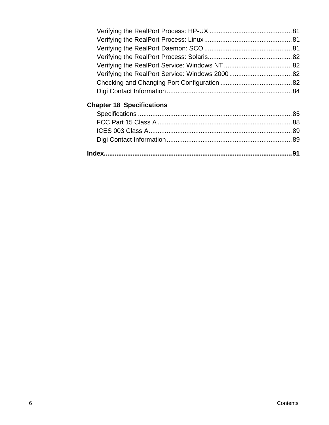# **[Chapter 18 Specifications](#page-84-0)**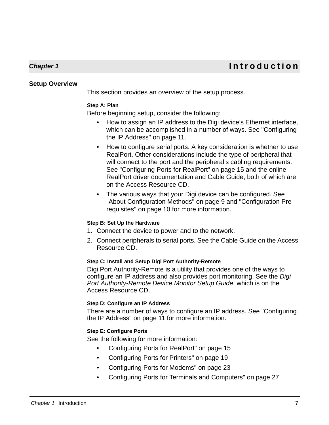# **Chapter 1 Introduction**

#### <span id="page-6-1"></span>**Setup Overview**

<span id="page-6-0"></span>This section provides an overview of the setup process.

#### **Step A: Plan**

Before beginning setup, consider the following:

- How to assign an IP address to the Digi device's Ethernet interface, which can be accomplished in a number of ways. See ["Configuring](#page-10-4)  [the IP Address" on page 11](#page-10-4).
- How to configure serial ports. A key consideration is whether to use RealPort. Other considerations include the type of peripheral that will connect to the port and the peripheral's cabling requirements. See ["Configuring Ports for RealPort" on page 15](#page-14-3) and the online RealPort driver documentation and Cable Guide, both of which are on the Access Resource CD.
- The various ways that your Digi device can be configured. See ["About Configuration Methods" on page 9](#page-8-0) and ["Configuration Pre](#page-9-0)[requisites" on page 10](#page-9-0) for more information.

#### **Step B: Set Up the Hardware**

- 1. Connect the device to power and to the network.
- 2. Connect peripherals to serial ports. See the Cable Guide on the Access Resource CD.

#### **Step C: Install and Setup Digi Port Authority-Remote**

Digi Port Authority-Remote is a utility that provides one of the ways to configure an IP address and also provides port monitoring. See the Digi Port Authority-Remote Device Monitor Setup Guide, which is on the Access Resource CD.

#### **Step D: Configure an IP Address**

There are a number of ways to configure an IP address. See ["Configuring](#page-10-4)  [the IP Address" on page 11](#page-10-4) for more information.

#### **Step E: Configure Ports**

See the following for more information:

- • ["Configuring Ports for RealPort" on page 15](#page-14-3)
- • ["Configuring Ports for Printers" on page 19](#page-18-2)
- • ["Configuring Ports for Modems" on page 23](#page-22-3)
- • ["Configuring Ports for Terminals and Computers" on page 27](#page-26-5)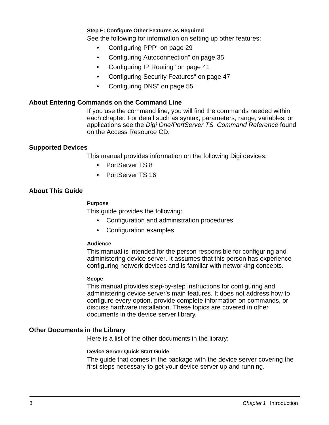#### **Step F: Configure Other Features as Required**

See the following for information on setting up other features:

- ["Configuring PPP" on page 29](#page-28-2)
- ["Configuring Autoconnection" on page 35](#page-34-5)
- ["Configuring IP Routing" on page 41](#page-40-2)
- ["Configuring Security Features" on page 47](#page-46-3)
- ["Configuring DNS" on page 55](#page-54-2)

#### <span id="page-7-0"></span>**About Entering Commands on the Command Line**

If you use the command line, you will find the commands needed within each chapter. For detail such as syntax, parameters, range, variables, or applications see the Digi One/PortServer TS Command Reference found on the Access Resource CD.

#### <span id="page-7-1"></span>**Supported Devices**

This manual provides information on the following Digi devices:

- PortServer TS 8
- PortServer TS 16

#### <span id="page-7-2"></span>**About This Guide**

#### **Purpose**

This guide provides the following:

- Configuration and administration procedures
- Configuration examples

#### **Audience**

This manual is intended for the person responsible for configuring and administering device server. It assumes that this person has experience configuring network devices and is familiar with networking concepts.

#### **Scope**

This manual provides step-by-step instructions for configuring and administering device server's main features. It does not address how to configure every option, provide complete information on commands, or discuss hardware installation. These topics are covered in other documents in the device server library.

#### <span id="page-7-3"></span>**Other Documents in the Library**

Here is a list of the other documents in the library:

#### **Device Server Quick Start Guide**

The guide that comes in the package with the device server covering the first steps necessary to get your device server up and running.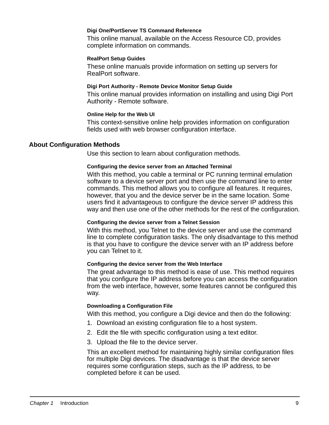#### **Digi One/PortServer TS Command Reference**

This online manual, available on the Access Resource CD, provides complete information on commands.

#### **RealPort Setup Guides**

These online manuals provide information on setting up servers for RealPort software.

#### **Digi Port Authority - Remote Device Monitor Setup Guide**

This online manual provides information on installing and using Digi Port Authority - Remote software.

#### **Online Help for the Web UI**

This context-sensitive online help provides information on configuration fields used with web browser configuration interface.

#### <span id="page-8-0"></span>**About Configuration Methods**

Use this section to learn about configuration methods.

#### **Configuring the device server from an Attached Terminal**

With this method, you cable a terminal or PC running terminal emulation software to a device server port and then use the command line to enter commands. This method allows you to configure all features. It requires, however, that you and the device server be in the same location. Some users find it advantageous to configure the device server IP address this way and then use one of the other methods for the rest of the configuration.

#### **Configuring the device server from a Telnet Session**

With this method, you Telnet to the device server and use the command line to complete configuration tasks. The only disadvantage to this method is that you have to configure the device server with an IP address before you can Telnet to it.

#### **Configuring the device server from the Web Interface**

The great advantage to this method is ease of use. This method requires that you configure the IP address before you can access the configuration from the web interface, however, some features cannot be configured this way.

#### **Downloading a Configuration File**

With this method, you configure a Digi device and then do the following:

- 1. Download an existing configuration file to a host system.
- 2. Edit the file with specific configuration using a text editor.
- 3. Upload the file to the device server.

This an excellent method for maintaining highly similar configuration files for multiple Digi devices. The disadvantage is that the device server requires some configuration steps, such as the IP address, to be completed before it can be used.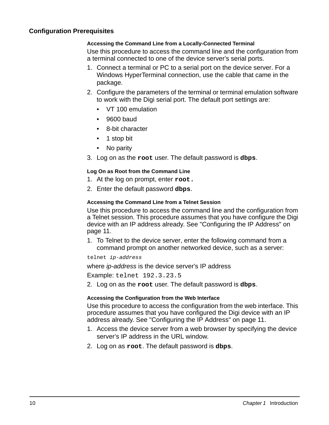#### <span id="page-9-0"></span>**Configuration Prerequisites**

#### **Accessing the Command Line from a Locally-Connected Terminal**

Use this procedure to access the command line and the configuration from a terminal connected to one of the device server's serial ports.

- 1. Connect a terminal or PC to a serial port on the device server. For a Windows HyperTerminal connection, use the cable that came in the package.
- 2. Configure the parameters of the terminal or terminal emulation software to work with the Digi serial port. The default port settings are:
	- VT 100 emulation
	- 9600 baud
	- 8-bit character
	- 1 stop bit
	- No parity
- 3. Log on as the **root** user. The default password is **dbps**.

#### **Log On as Root from the Command Line**

- 1. At the log on prompt, enter **root.**
- 2. Enter the default password **dbps**.

#### **Accessing the Command Line from a Telnet Session**

Use this procedure to access the command line and the configuration from a Telnet session. This procedure assumes that you have configure the Digi device with an IP address already. See ["Configuring the IP Address" on](#page-10-4)  [page 11](#page-10-4).

1. To Telnet to the device server, enter the following command from a command prompt on another networked device, such as a server:

telnet ip-address

where *ip-address* is the device server's IP address

Example: telnet 192.3.23.5

2. Log on as the **root** user. The default password is **dbps**.

#### **Accessing the Configuration from the Web Interface**

Use this procedure to access the configuration from the web interface. This procedure assumes that you have configured the Digi device with an IP address already. See ["Configuring the IP Address" on page 11](#page-10-4).

- 1. Access the device server from a web browser by specifying the device server's IP address in the URL window.
- 2. Log on as **root**. The default password is **dbps**.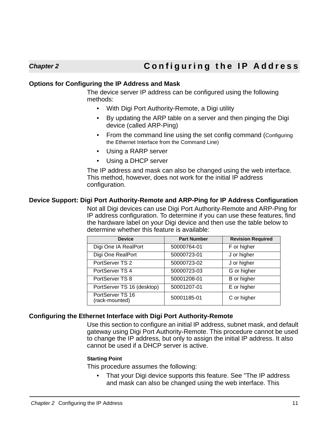#### <span id="page-10-1"></span>**Options for Configuring the IP Address and Mask**

<span id="page-10-4"></span><span id="page-10-0"></span>The device server IP address can be configured using the following methods:

- With Digi Port Authority-Remote, a Digi utility
- By updating the ARP table on a server and then pinging the Digi device (called ARP-Ping)
- From the command line using the set config command (Configuring the Ethernet Interface from the Command Line)
- Using a RARP server
- Using a DHCP server

The IP address and mask can also be changed using the web interface. This method, however, does not work for the initial IP address configuration.

#### <span id="page-10-2"></span>**Device Support: Digi Port Authority-Remote and ARP-Ping for IP Address Configuration**

Not all Digi devices can use Digi Port Authority-Remote and ARP-Ping for IP address configuration. To determine if you can use these features, find the hardware label on your Digi device and then use the table below to determine whether this feature is available:

| <b>Device</b>                      | <b>Part Number</b> | <b>Revision Required</b> |
|------------------------------------|--------------------|--------------------------|
| Digi One IA RealPort               | 50000764-01        | F or higher              |
| Digi One RealPort                  | 50000723-01        | J or higher              |
| PortServer TS 2                    | 50000723-02        | J or higher              |
| PortServer TS 4                    | 50000723-03        | G or higher              |
| PortServer TS 8                    | 50001208-01        | B or higher              |
| PortServer TS 16 (desktop)         | 50001207-01        | E or higher              |
| PortServer TS 16<br>(rack-mounted) | 50001185-01        | C or higher              |

#### <span id="page-10-3"></span>**Configuring the Ethernet Interface with Digi Port Authority-Remote**

Use this section to configure an initial IP address, subnet mask, and default gateway using Digi Port Authority-Remote. This procedure cannot be used to change the IP address, but only to assign the initial IP address. It also cannot be used if a DHCP server is active.

#### **Starting Point**

This procedure assumes the following:

• That your Digi device supports this feature. See "The IP address and mask can also be changed using the web interface. This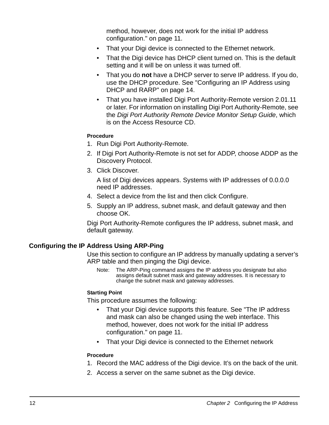method, however, does not work for the initial IP address configuration." on page 11.

- That your Digi device is connected to the Ethernet network.
- That the Digi device has DHCP client turned on. This is the default setting and it will be on unless it was turned off.
- That you do **not** have a DHCP server to serve IP address. If you do, use the DHCP procedure. See ["Configuring an IP Address using](#page-13-0)  [DHCP and RARP" on page 14](#page-13-0).
- That you have installed Digi Port Authority-Remote version 2.01.11 or later. For information on installing Digi Port Authority-Remote, see the Digi Port Authority Remote Device Monitor Setup Guide, which is on the Access Resource CD.

#### **Procedure**

- 1. Run Digi Port Authority-Remote.
- 2. If Digi Port Authority-Remote is not set for ADDP, choose ADDP as the Discovery Protocol.
- 3. Click Discover.

A list of Digi devices appears. Systems with IP addresses of 0.0.0.0 need IP addresses.

- 4. Select a device from the list and then click Configure.
- 5. Supply an IP address, subnet mask, and default gateway and then choose OK.

Digi Port Authority-Remote configures the IP address, subnet mask, and default gateway.

### <span id="page-11-0"></span>**Configuring the IP Address Using ARP-Ping**

Use this section to configure an IP address by manually updating a server's ARP table and then pinging the Digi device.

Note: The ARP-Ping command assigns the IP address you designate but also assigns default subnet mask and gateway addresses. It is necessary to change the subnet mask and gateway addresses.

#### **Starting Point**

This procedure assumes the following:

- That your Digi device supports this feature. See "The IP address and mask can also be changed using the web interface. This method, however, does not work for the initial IP address configuration." on page 11.
- That your Digi device is connected to the Ethernet network

#### **Procedure**

- 1. Record the MAC address of the Digi device. It's on the back of the unit.
- 2. Access a server on the same subnet as the Digi device.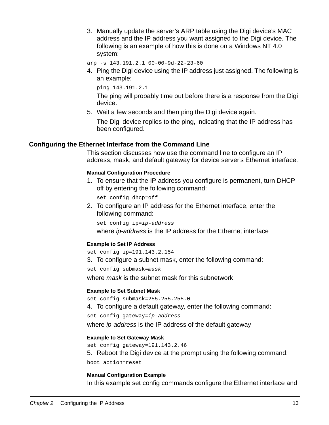3. Manually update the server's ARP table using the Digi device's MAC address and the IP address you want assigned to the Digi device. The following is an example of how this is done on a Windows NT 4.0 system:

arp -s 143.191.2.1 00-00-9d-22-23-60

4. Ping the Digi device using the IP address just assigned. The following is an example:

ping 143.191.2.1

The ping will probably time out before there is a response from the Digi device.

5. Wait a few seconds and then ping the Digi device again.

The Digi device replies to the ping, indicating that the IP address has been configured.

#### <span id="page-12-0"></span>**Configuring the Ethernet Interface from the Command Line**

This section discusses how use the command line to configure an IP address, mask, and default gateway for device server's Ethernet interface.

#### **Manual Configuration Procedure**

1. To ensure that the IP address you configure is permanent, turn DHCP off by entering the following command:

set config dhcp=off

2. To configure an IP address for the Ethernet interface, enter the following command:

```
set config ip=ip-address
```
where ip-address is the IP address for the Ethernet interface

#### **Example to Set IP Address**

set config ip=191.143.2.154

3. To configure a subnet mask, enter the following command:

set config submask=mask

where *mask* is the subnet mask for this subnetwork

#### **Example to Set Subnet Mask**

set config submask=255.255.255.0

4. To configure a default gateway, enter the following command:

set config gateway=ip-address

where *ip-address* is the IP address of the default gateway

#### **Example to Set Gateway Mask**

set config gateway=191.143.2.46

5. Reboot the Digi device at the prompt using the following command:

boot action=reset

#### **Manual Configuration Example**

In this example set config commands configure the Ethernet interface and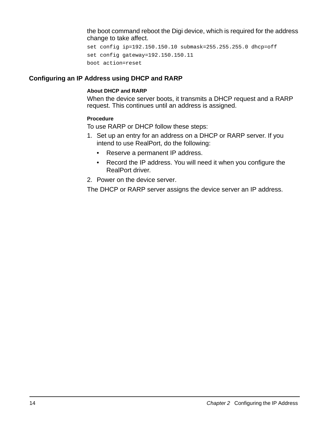the boot command reboot the Digi device, which is required for the address change to take affect.

```
set config ip=192.150.150.10 submask=255.255.255.0 dhcp=off 
set config gateway=192.150.150.11
boot action=reset
```
#### <span id="page-13-0"></span>**Configuring an IP Address using DHCP and RARP**

#### **About DHCP and RARP**

When the device server boots, it transmits a DHCP request and a RARP request. This continues until an address is assigned.

#### **Procedure**

To use RARP or DHCP follow these steps:

- 1. Set up an entry for an address on a DHCP or RARP server. If you intend to use RealPort, do the following:
	- Reserve a permanent IP address.
	- Record the IP address. You will need it when you configure the RealPort driver.
- 2. Power on the device server.

The DHCP or RARP server assigns the device server an IP address.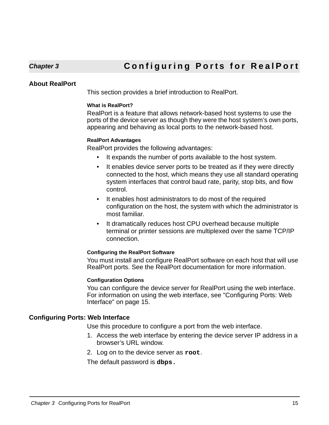#### <span id="page-14-4"></span><span id="page-14-1"></span>**About RealPort**

<span id="page-14-3"></span><span id="page-14-0"></span>This section provides a brief introduction to RealPort.

#### **What is RealPort?**

RealPort is a feature that allows network-based host systems to use the ports of the device server as though they were the host system's own ports, appearing and behaving as local ports to the network-based host.

#### **RealPort Advantages**

RealPort provides the following advantages:

- It expands the number of ports available to the host system.
- It enables device server ports to be treated as if they were directly connected to the host, which means they use all standard operating system interfaces that control baud rate, parity, stop bits, and flow control.
- It enables host administrators to do most of the required configuration on the host, the system with which the administrator is most familiar.
- It dramatically reduces host CPU overhead because multiple terminal or printer sessions are multiplexed over the same TCP/IP connection.

#### **Configuring the RealPort Software**

You must install and configure RealPort software on each host that will use RealPort ports. See the RealPort documentation for more information.

#### **Configuration Options**

You can configure the device server for RealPort using the web interface. For information on using the web interface, see ["Configuring Ports: Web](#page-14-2)  [Interface" on page 15](#page-14-2).

#### <span id="page-14-2"></span>**Configuring Ports: Web Interface**

Use this procedure to configure a port from the web interface.

- 1. Access the web interface by entering the device server IP address in a browser's URL window.
- 2. Log on to the device server as **root**.

The default password is **dbps.**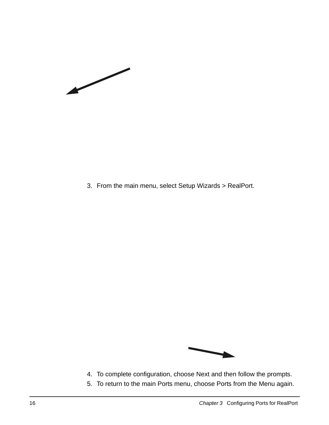$\overline{\phantom{a}}$ 

3. From the main menu, select Setup Wizards > RealPort.



- 4. To complete configuration, choose Next and then follow the prompts.
- 5. To return to the main Ports menu, choose Ports from the Menu again.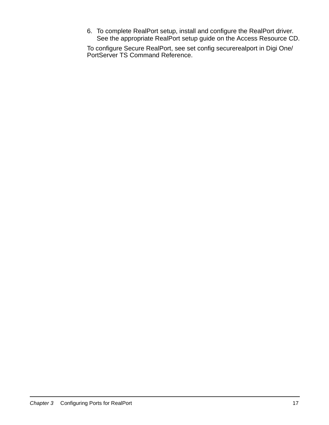6. To complete RealPort setup, install and configure the RealPort driver. See the appropriate RealPort setup guide on the Access Resource CD.

To configure Secure RealPort, see set config securerealport in Digi One/ PortServer TS Command Reference.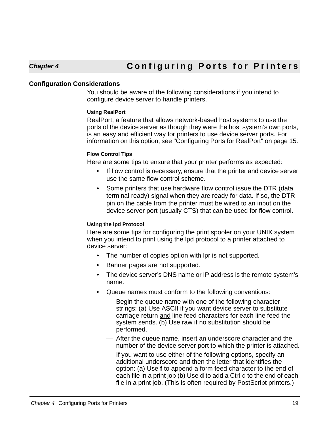#### <span id="page-18-1"></span>**Configuration Considerations**

<span id="page-18-2"></span><span id="page-18-0"></span>You should be aware of the following considerations if you intend to configure device server to handle printers.

#### **Using RealPort**

RealPort, a feature that allows network-based host systems to use the ports of the device server as though they were the host system's own ports, is an easy and efficient way for printers to use device server ports. For information on this option, see ["Configuring Ports for RealPort" on page 15.](#page-14-3)

#### **Flow Control Tips**

Here are some tips to ensure that your printer performs as expected:

- If flow control is necessary, ensure that the printer and device server use the same flow control scheme.
- Some printers that use hardware flow control issue the DTR (data terminal ready) signal when they are ready for data. If so, the DTR pin on the cable from the printer must be wired to an input on the device server port (usually CTS) that can be used for flow control.

#### **Using the lpd Protocol**

Here are some tips for configuring the print spooler on your UNIX system when you intend to print using the lpd protocol to a printer attached to device server:

- The number of copies option with lpr is not supported.
- Banner pages are not supported.
- The device server's DNS name or IP address is the remote system's name.
- Queue names must conform to the following conventions:
	- Begin the queue name with one of the following character strings: (a) Use ASCII if you want device server to substitute carriage return and line feed characters for each line feed the system sends. (b) Use raw if no substitution should be performed.
	- After the queue name, insert an underscore character and the number of the device server port to which the printer is attached.
	- If you want to use either of the following options, specify an additional underscore and then the letter that identifies the option: (a) Use **f** to append a form feed character to the end of each file in a print job (b) Use **d** to add a Ctrl-d to the end of each file in a print job. (This is often required by PostScript printers.)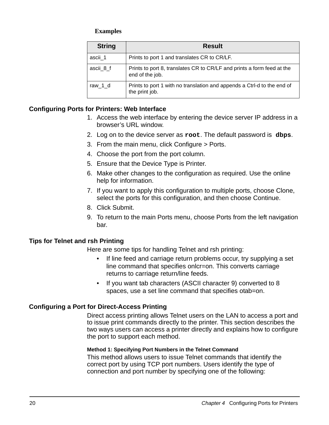### **Examples**

| <b>String</b> | <b>Result</b>                                                                             |
|---------------|-------------------------------------------------------------------------------------------|
| ascii 1       | Prints to port 1 and translates CR to CR/LF.                                              |
| ascii_8_f     | Prints to port 8, translates CR to CR/LF and prints a form feed at the<br>end of the job. |
| raw_1_d       | Prints to port 1 with no translation and appends a Ctrl-d to the end of<br>the print job. |

### <span id="page-19-0"></span>**Configuring Ports for Printers: Web Interface**

- 1. Access the web interface by entering the device server IP address in a browser's URL window.
- 2. Log on to the device server as **root**. The default password is **dbps**.
- 3. From the main menu, click Configure > Ports.
- 4. Choose the port from the port column.
- 5. Ensure that the Device Type is Printer.
- 6. Make other changes to the configuration as required. Use the online help for information.
- 7. If you want to apply this configuration to multiple ports, choose Clone, select the ports for this configuration, and then choose Continue.
- 8. Click Submit.
- 9. To return to the main Ports menu, choose Ports from the left navigation bar.

### <span id="page-19-1"></span>**Tips for Telnet and rsh Printing**

Here are some tips for handling Telnet and rsh printing:

- If line feed and carriage return problems occur, try supplying a set line command that specifies onlcr=on. This converts carriage returns to carriage return/line feeds.
- If you want tab characters (ASCII character 9) converted to 8 spaces, use a set line command that specifies otab=on.

### <span id="page-19-2"></span>**Configuring a Port for Direct-Access Printing**

Direct access printing allows Telnet users on the LAN to access a port and to issue print commands directly to the printer. This section describes the two ways users can access a printer directly and explains how to configure the port to support each method.

#### **Method 1: Specifying Port Numbers in the Telnet Command**

This method allows users to issue Telnet commands that identify the correct port by using TCP port numbers. Users identify the type of connection and port number by specifying one of the following: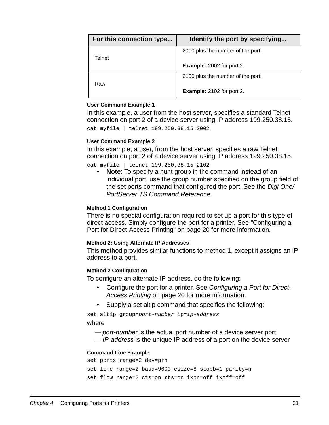| For this connection type | Identify the port by specifying   |
|--------------------------|-----------------------------------|
| Telnet                   | 2000 plus the number of the port. |
|                          | <b>Example:</b> 2002 for port 2.  |
| Raw                      | 2100 plus the number of the port. |
|                          | <b>Example:</b> 2102 for port 2.  |

#### **User Command Example 1**

In this example, a user from the host server, specifies a standard Telnet connection on port 2 of a device server using IP address 199.250.38.15.

```
cat myfile | telnet 199.250.38.15 2002
```
#### **User Command Example 2**

In this example, a user, from the host server, specifies a raw Telnet connection on port 2 of a device server using IP address 199.250.38.15.

cat myfile | telnet 199.250.38.15 2102

• **Note**: To specify a hunt group in the command instead of an individual port, use the group number specified on the group field of the set ports command that configured the port. See the Digi One/ PortServer TS Command Reference.

#### **Method 1 Configuration**

There is no special configuration required to set up a port for this type of direct access. Simply configure the port for a printer. See ["Configuring a](#page-19-2)  [Port for Direct-Access Printing" on page 20](#page-19-2) for more information.

#### **Method 2: Using Alternate IP Addresses**

This method provides similar functions to method 1, except it assigns an IP address to a port.

#### **Method 2 Configuration**

To configure an alternate IP address, do the following:

- Configure the port for a printer. See [Configuring a Port for Direct-](#page-19-2)[Access Printing](#page-19-2) on page [20](#page-19-2) for more information.
- Supply a set altip command that specifies the following:

set altip group=port-number ip=ip-address

#### where

- port-number is the actual port number of a device server port
- IP-address is the unique IP address of a port on the device server

#### **Command Line Example**

```
set ports range=2 dev=prn 
set line range=2 baud=9600 csize=8 stopb=1 parity=n 
set flow range=2 cts=on rts=on ixon=off ixoff=off
```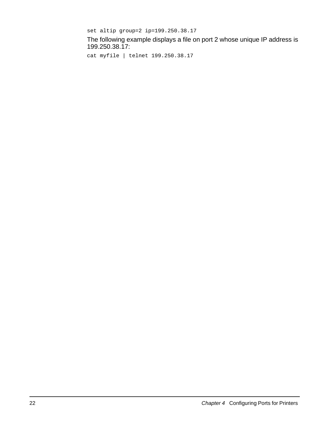```
set altip group=2 ip=199.250.38.17
```
The following example displays a file on port 2 whose unique IP address is 199.250.38.17:

```
cat myfile | telnet 199.250.38.17
```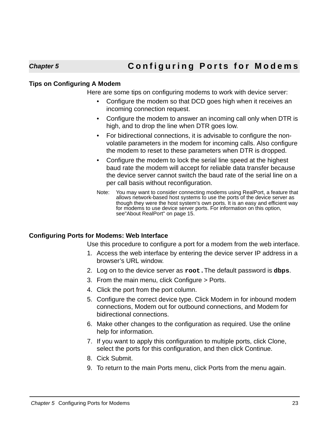# **Chapter 5 Configuring Ports for Modems**

#### <span id="page-22-1"></span>**Tips on Configuring A Modem**

<span id="page-22-0"></span>Here are some tips on configuring modems to work with device server:

- <span id="page-22-3"></span>• Configure the modem so that DCD goes high when it receives an incoming connection request.
- Configure the modem to answer an incoming call only when DTR is high, and to drop the line when DTR goes low.
- For bidirectional connections, it is advisable to configure the nonvolatile parameters in the modem for incoming calls. Also configure the modem to reset to these parameters when DTR is dropped.
- Configure the modem to lock the serial line speed at the highest baud rate the modem will accept for reliable data transfer because the device server cannot switch the baud rate of the serial line on a per call basis without reconfiguration.
- Note: You may want to consider connecting modems using RealPort, a feature that allows network-based host systems to use the ports of the device server as though they were the host system's own ports. It is an easy and efficient way for modems to use device server ports. For information on this option, se[e"About RealPort" on page 15.](#page-14-4)

### <span id="page-22-2"></span>**Configuring Ports for Modems: Web Interface**

Use this procedure to configure a port for a modem from the web interface.

- 1. Access the web interface by entering the device server IP address in a browser's URL window.
- 2. Log on to the device server as **root.**The default password is **dbps**.
- 3. From the main menu, click Configure > Ports.
- 4. Click the port from the port column.
- 5. Configure the correct device type. Click Modem in for inbound modem connections, Modem out for outbound connections, and Modem for bidirectional connections.
- 6. Make other changes to the configuration as required. Use the online help for information.
- 7. If you want to apply this configuration to multiple ports, click Clone, select the ports for this configuration, and then click Continue.
- 8. Cick Submit.
- 9. To return to the main Ports menu, click Ports from the menu again.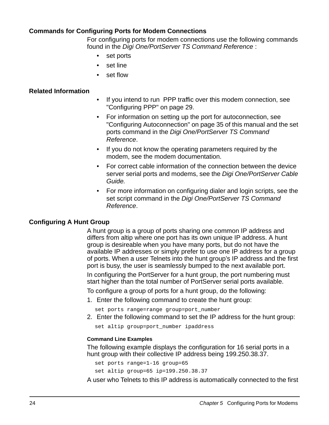#### <span id="page-23-0"></span>**Commands for Configuring Ports for Modem Connections**

For configuring ports for modem connections use the following commands found in the Digi One/PortServer TS Command Reference :

- set ports
- set line
- set flow

#### <span id="page-23-1"></span>**Related Information**

- If you intend to run PPP traffic over this modem connection, see ["Configuring PPP" on page 29](#page-28-2).
- For information on setting up the port for autoconnection, see ["Configuring Autoconnection" on page 35](#page-34-5) of this manual and the set ports command in the Digi One/PortServer TS Command Reference.
- If you do not know the operating parameters required by the modem, see the modem documentation.
- For correct cable information of the connection between the device server serial ports and modems, see the Digi One/PortServer Cable Guide.
- For more information on configuring dialer and login scripts, see the set script command in the Digi One/PortServer TS Command Reference.

#### <span id="page-23-2"></span>**Configuring A Hunt Group**

A hunt group is a group of ports sharing one common IP address and differs from altip where one port has its own unique IP address. A hunt group is desireable when you have many ports, but do not have the available IP addresses or simply prefer to use one IP address for a group of ports. When a user Telnets into the hunt group's IP address and the first port is busy, the user is seamlessly bumped to the next available port.

In configuring the PortServer for a hunt group, the port numbering must start higher than the total number of PortServer serial ports available.

To configure a group of ports for a hunt group, do the following:

- 1. Enter the following command to create the hunt group:
	- set ports range=range group=port\_number
- 2. Enter the following command to set the IP address for the hunt group:

set altip group=port\_number ipaddress

#### **Command Line Examples**

The following example displays the configuration for 16 serial ports in a hunt group with their collective IP address being 199.250.38.37.

set ports range=1-16 group=65 set altip group=65 ip=199.250.38.37

A user who Telnets to this IP address is automatically connected to the first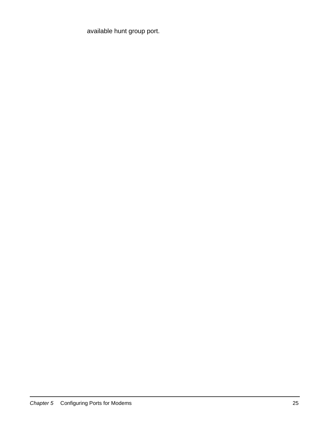available hunt group port.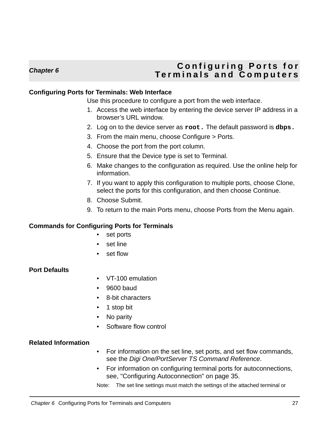## <span id="page-26-0"></span>**Chapter 6 Configuring Ports for Terminals and Computers**

#### <span id="page-26-1"></span>**Configuring Ports for Terminals: Web Interface**

<span id="page-26-5"></span>Use this procedure to configure a port from the web interface.

- 1. Access the web interface by entering the device server IP address in a browser's URL window.
- 2. Log on to the device server as **root.** The default password is **dbps.**
- 3. From the main menu, choose Configure > Ports.
- 4. Choose the port from the port column.
- 5. Ensure that the Device type is set to Terminal.
- 6. Make changes to the configuration as required. Use the online help for information.
- 7. If you want to apply this configuration to multiple ports, choose Clone, select the ports for this configuration, and then choose Continue.
- 8. Choose Submit.
- 9. To return to the main Ports menu, choose Ports from the Menu again.

#### <span id="page-26-2"></span>**Commands for Configuring Ports for Terminals**

- set ports
- set line
- set flow

#### <span id="page-26-3"></span>**Port Defaults**

- VT-100 emulation
- 9600 baud
- 8-bit characters
- 1 stop bit
- No parity
- Software flow control

#### <span id="page-26-4"></span>**Related Information**

- For information on the set line, set ports, and set flow commands, see the Digi One/PortServer TS Command Reference.
- For information on configuring terminal ports for autoconnections, see, ["Configuring Autoconnection" on page 35](#page-34-5).

Note: The set line settings must match the settings of the attached terminal or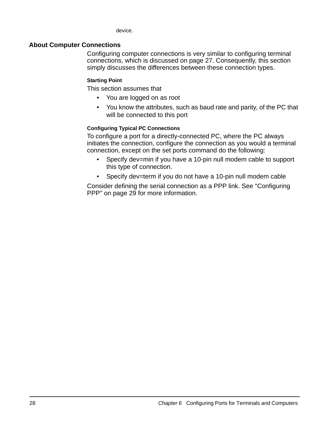device.

#### <span id="page-27-0"></span>**About Computer Connections**

Configuring computer connections is very similar to configuring terminal connections, which is discussed on page [27](#page-26-2). Consequently, this section simply discusses the differences between these connection types.

#### **Starting Point**

This section assumes that

- You are logged on as root
- You know the attributes, such as baud rate and parity, of the PC that will be connected to this port

#### **Configuring Typical PC Connections**

To configure a port for a directly-connected PC, where the PC always initiates the connection, configure the connection as you would a terminal connection, except on the set ports command do the following:

- Specify dev=min if you have a 10-pin null modem cable to support this type of connection.
- Specify dev=term if you do not have a 10-pin null modem cable

Consider defining the serial connection as a PPP link. See ["Configuring](#page-28-2)  [PPP" on page 29](#page-28-2) for more information.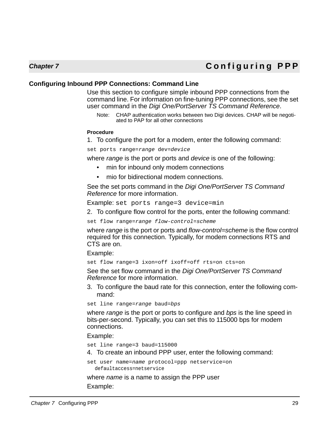# **Chapter 7 Configuring PPP**

#### <span id="page-28-1"></span>**Configuring Inbound PPP Connections: Command Line**

<span id="page-28-0"></span>Use this section to configure simple inbound PPP connections from the command line. For information on fine-tuning PPP connections, see the set user command in the Digi One/PortServer TS Command Reference.

<span id="page-28-2"></span>Note: CHAP authentication works between two Digi devices. CHAP will be negotiated to PAP for all other connections

#### **Procedure**

1. To configure the port for a modem, enter the following command:

set ports range=range dev=device

where *range* is the port or ports and *device* is one of the following:

- min for inbound only modem connections
- mio for bidirectional modem connections.

See the set ports command in the Digi One/PortServer TS Command Reference for more information.

Example: set ports range=3 device=min

2. To configure flow control for the ports, enter the following command:

set flow range=range flow-control=scheme

where range is the port or ports and flow-control=scheme is the flow control required for this connection. Typically, for modem connections RTS and CTS are on.

Example:

set flow range=3 ixon=off ixoff=off rts=on cts=on

See the set flow command in the Digi One/PortServer TS Command Reference for more information.

3. To configure the baud rate for this connection, enter the following command:

set line range=range baud=bps

where *range* is the port or ports to configure and *bps* is the line speed in bits-per-second. Typically, you can set this to 115000 bps for modem connections.

Example:

set line range=3 baud=115000

4. To create an inbound PPP user, enter the following command:

set user name=name protocol=ppp netservice=on defaultaccess=netservice

where *name* is a name to assign the PPP user Example: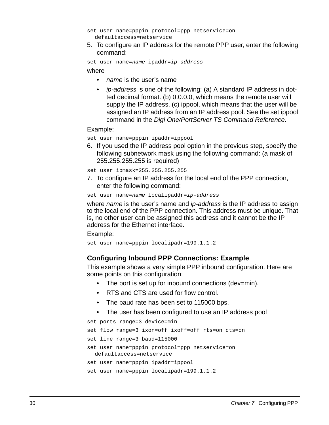```
set user name=pppin protocol=ppp netservice=on 
  defaultaccess=netservice
```
5. To configure an IP address for the remote PPP user, enter the following command:

set user name=name ipaddr=ip-address

where

- *name* is the user's name
- ip-address is one of the following: (a) A standard IP address in dotted decimal format. (b) 0.0.0.0, which means the remote user will supply the IP address. (c) ippool, which means that the user will be assigned an IP address from an IP address pool. See the set ippool command in the Digi One/PortServer TS Command Reference.

#### Example:

set user name=pppin ipaddr=ippool

6. If you used the IP address pool option in the previous step, specify the following subnetwork mask using the following command: (a mask of 255.255.255.255 is required)

set user ipmask=255.255.255.255

7. To configure an IP address for the local end of the PPP connection, enter the following command:

```
set user name=name localipaddr=ip-address
```
where *name* is the user's name and *ip-address* is the IP address to assign to the local end of the PPP connection. This address must be unique. That is, no other user can be assigned this address and it cannot be the IP address for the Ethernet interface.

Example:

set user name=pppin localipadr=199.1.1.2

### **Configuring Inbound PPP Connections: Example**

This example shows a very simple PPP inbound configuration. Here are some points on this configuration:

- The port is set up for inbound connections (dev=min).
- RTS and CTS are used for flow control.
- The baud rate has been set to 115000 bps.
- The user has been configured to use an IP address pool

```
set ports range=3 device=min
```

```
set flow range=3 ixon=off ixoff=off rts=on cts=on
```

```
set line range=3 baud=115000
```

```
set user name=pppin protocol=ppp netservice=on 
  defaultaccess=netservice
```

```
set user name=pppin ipaddr=ippool
```

```
set user name=pppin localipadr=199.1.1.2
```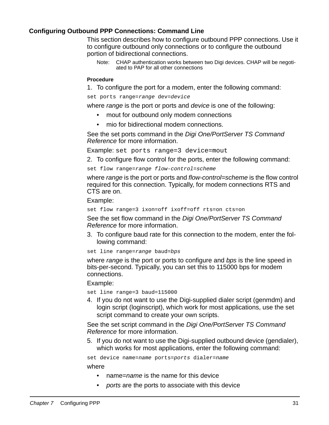#### <span id="page-30-0"></span>**Configuring Outbound PPP Connections: Command Line**

This section describes how to configure outbound PPP connections. Use it to configure outbound only connections or to configure the outbound portion of bidirectional connections.

Note: CHAP authentication works between two Digi devices. CHAP will be negotiated to PAP for all other connections

#### **Procedure**

1. To configure the port for a modem, enter the following command:

set ports range=range dev=device

where range is the port or ports and device is one of the following:

- mout for outbound only modem connections
- mio for bidirectional modem connections.

See the set ports command in the Digi One/PortServer TS Command Reference for more information.

Example: set ports range=3 device=mout

2. To configure flow control for the ports, enter the following command:

set flow range=range flow-control=scheme

where range is the port or ports and flow-control=scheme is the flow control required for this connection. Typically, for modem connections RTS and CTS are on.

Example:

set flow range=3 ixon=off ixoff=off rts=on cts=on

See the set flow command in the Digi One/PortServer TS Command Reference for more information.

3. To configure baud rate for this connection to the modem, enter the following command:

set line range=range baud=bps

where range is the port or ports to configure and bps is the line speed in bits-per-second. Typically, you can set this to 115000 bps for modem connections.

Example:

set line range=3 baud=115000

4. If you do not want to use the Digi-supplied dialer script (genmdm) and login script (loginscript), which work for most applications, use the set script command to create your own scripts.

See the set script command in the Digi One/PortServer TS Command Reference for more information.

5. If you do not want to use the Digi-supplied outbound device (gendialer), which works for most applications, enter the following command:

set device name=name ports=ports dialer=name

where

- hame=name is the name for this device
- ports are the ports to associate with this device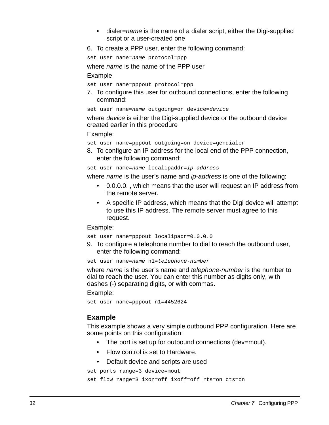- dialer=*name* is the name of a dialer script, either the Digi-supplied script or a user-created one
- 6. To create a PPP user, enter the following command:

set user name=name protocol=ppp

where *name* is the name of the PPP user

Example

set user name=pppout protocol=ppp

7. To configure this user for outbound connections, enter the following command:

set user name=name outgoing=on device=device

where device is either the Digi-supplied device or the outbound device created earlier in this procedure

Example:

set user name=pppout outgoing=on device=gendialer

8. To configure an IP address for the local end of the PPP connection, enter the following command:

set user name=name localipaddr=ip-address

where *name* is the user's name and *ip-address* is one of the following:

- 0.0.0.0. , which means that the user will request an IP address from the remote server.
- A specific IP address, which means that the Digi device will attempt to use this IP address. The remote server must agree to this request.

Example:

set user name=pppout localipadr=0.0.0.0

9. To configure a telephone number to dial to reach the outbound user, enter the following command:

set user name=name n1=telephone-number

where *name* is the user's name and *telephone-number* is the number to dial to reach the user. You can enter this number as digits only, with dashes (-) separating digits, or with commas.

Example:

set user name=pppout n1=4452624

### **Example**

This example shows a very simple outbound PPP configuration. Here are some points on this configuration:

- The port is set up for outbound connections (dev=mout).
- Flow control is set to Hardware.
- Default device and scripts are used

set ports range=3 device=mout

```
set flow range=3 ixon=off ixoff=off rts=on cts=on
```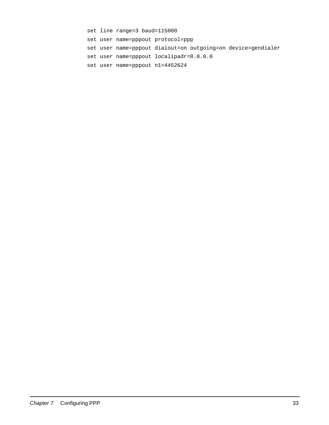set line range=3 baud=115000 set user name=pppout protocol=ppp set user name=pppout dialout=on outgoing=on device=gendialer set user name=pppout localipadr=0.0.0.0 set user name=pppout n1=4452624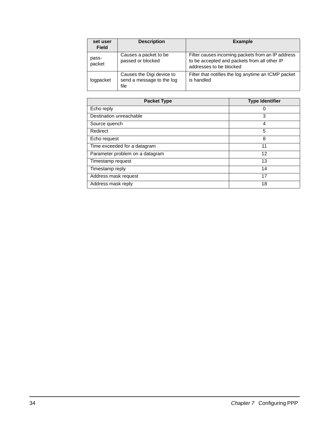| set user<br><b>Field</b> | <b>Description</b>                                             | <b>Example</b>                                                                                                               |
|--------------------------|----------------------------------------------------------------|------------------------------------------------------------------------------------------------------------------------------|
| pass-<br>packet          | Causes a packet to be<br>passed or blocked                     | Filter causes incoming packets from an IP address<br>to be accepted and packets from all other IP<br>addresses to be blocked |
| logpacket                | Causes the Digi device to<br>send a message to the log<br>file | Filter that notifies the log anytime an ICMP packet<br>is handled                                                            |

| <b>Packet Type</b>              | <b>Type Identifier</b> |
|---------------------------------|------------------------|
| Echo reply                      | O                      |
| Destination unreachable         | 3                      |
| Source quench                   | 4                      |
| Redirect                        | 5                      |
| Echo request                    | 8                      |
| Time exceeded for a datagram    | 11                     |
| Parameter problem on a datagram | 12                     |
| Timestamp request               | 13                     |
| Timestamp reply                 | 14                     |
| Address mask request            | 17                     |
| Address mask reply              | 18                     |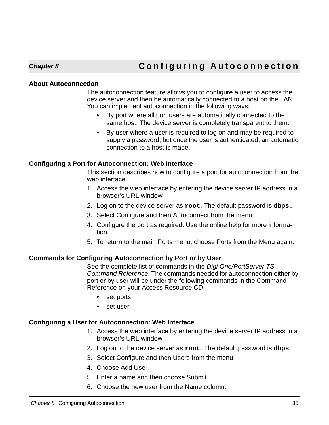# **Chapter 8 Configuring Autoconnection**

#### <span id="page-34-1"></span>**About Autoconnection**

<span id="page-34-5"></span><span id="page-34-0"></span>The autoconnection feature allows you to configure a user to access the device server and then be automatically connected to a host on the LAN. You can implement autoconnection in the following ways:

- By port where all port users are automatically connected to the same host. The device server is completely transparent to them.
- By user where a user is required to log on and may be required to supply a password, but once the user is authenticated, an automatic connection to a host is made.

#### <span id="page-34-2"></span>**Configuring a Port for Autoconnection: Web Interface**

This section describes how to configure a port for autoconnection from the web interface.

- 1. Access the web interface by entering the device server IP address in a browser's URL window.
- 2. Log on to the device server as **root**. The default password is **dbps.**
- 3. Select Configure and then Autoconnect from the menu.
- 4. Configure the port as required. Use the online help for more information.
- 5. To return to the main Ports menu, choose Ports from the Menu again.

#### <span id="page-34-3"></span>**Commands for Configuring Autoconnection by Port or by User**

See the complete list of commands in the Digi One/PortServer TS Command Reference. The commands needed for autoconnection either by port or by user will be under the following commands in the Command Reference on your Access Resource CD.

- set ports
- set user

### <span id="page-34-4"></span>**Configuring a User for Autoconnection: Web Interface**

- 1. Access the web interface by entering the device server IP address in a browser's URL window.
- 2. Log on to the device server as **root**. The default password is **dbps**.
- 3. Select Configure and then Users from the menu.
- 4. Choose Add User.
- 5. Enter a name and then choose Submit
- 6. Choose the new user from the Name column.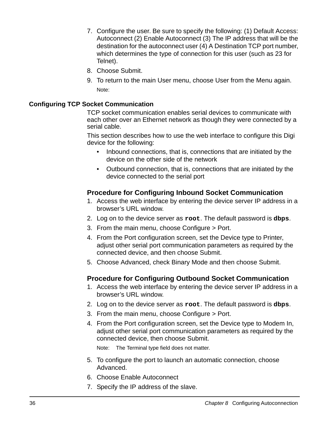- 7. Configure the user. Be sure to specify the following: (1) Default Access: Autoconnect (2) Enable Autoconnect (3) The IP address that will be the destination for the autoconnect user (4) A Destination TCP port number, which determines the type of connection for this user (such as 23 for Telnet).
- 8. Choose Submit.
- 9. To return to the main User menu, choose User from the Menu again. Note:

### <span id="page-35-0"></span>**Configuring TCP Socket Communication**

TCP socket communication enables serial devices to communicate with each other over an Ethernet network as though they were connected by a serial cable.

This section describes how to use the web interface to configure this Digi device for the following:

- Inbound connections, that is, connections that are initiated by the device on the other side of the network
- Outbound connection, that is, connections that are initiated by the device connected to the serial port

### **Procedure for Configuring Inbound Socket Communication**

- 1. Access the web interface by entering the device server IP address in a browser's URL window.
- 2. Log on to the device server as **root**. The default password is **dbps**.
- 3. From the main menu, choose Configure > Port.
- 4. From the Port configuration screen, set the Device type to Printer, adjust other serial port communication parameters as required by the connected device, and then choose Submit.
- 5. Choose Advanced, check Binary Mode and then choose Submit.

### **Procedure for Configuring Outbound Socket Communication**

- 1. Access the web interface by entering the device server IP address in a browser's URL window.
- 2. Log on to the device server as **root**. The default password is **dbps**.
- 3. From the main menu, choose Configure > Port.
- 4. From the Port configuration screen, set the Device type to Modem In, adjust other serial port communication parameters as required by the connected device, then choose Submit.

Note: The Terminal type field does not matter.

- 5. To configure the port to launch an automatic connection, choose Advanced.
- 6. Choose Enable Autoconnect
- 7. Specify the IP address of the slave.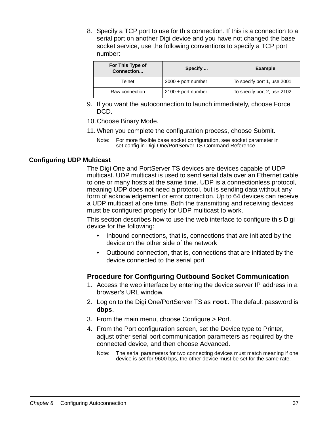8. Specify a TCP port to use for this connection. If this is a connection to a serial port on another Digi device and you have not changed the base socket service, use the following conventions to specify a TCP port number:

| For This Type of<br>Connection | Specify              | Example                     |
|--------------------------------|----------------------|-----------------------------|
| Telnet                         | $2000 +$ port number | To specify port 1, use 2001 |
| Raw connection                 | $2100 +$ port number | To specify port 2, use 2102 |

- 9. If you want the autoconnection to launch immediately, choose Force DCD.
- 10.Choose Binary Mode.
- 11. When you complete the configuration process, choose Submit.
	- Note: For more flexible base socket configuration, see socket parameter in set config in Digi One/PortServer TS Command Reference.

# **Configuring UDP Multicast**

The Digi One and PortServer TS devices are devices capable of UDP multicast. UDP multicast is used to send serial data over an Ethernet cable to one or many hosts at the same time. UDP is a connectionless protocol, meaning UDP does not need a protocol, but is sending data without any form of acknowledgement or error correction. Up to 64 devices can receive a UDP multicast at one time. Both the transmitting and receiving devices must be configured properly for UDP multicast to work.

This section describes how to use the web interface to configure this Digi device for the following:

- Inbound connections, that is, connections that are initiated by the device on the other side of the network
- Outbound connection, that is, connections that are initiated by the device connected to the serial port

# **Procedure for Configuring Outbound Socket Communication**

- 1. Access the web interface by entering the device server IP address in a browser's URL window.
- 2. Log on to the Digi One/PortServer TS as **root**. The default password is **dbps**.
- 3. From the main menu, choose Configure > Port.
- 4. From the Port configuration screen, set the Device type to Printer, adjust other serial port communication parameters as required by the connected device, and then choose Advanced.
	- Note: The serial parameters for two connecting devices must match meaning if one device is set for 9600 bps, the other device must be set for the same rate.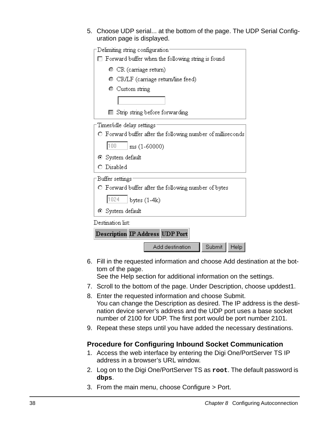5. Choose UDP serial... at the bottom of the page. The UDP Serial Configuration page is displayed.

| Delimiting string configuration        |                                                             |        |      |
|----------------------------------------|-------------------------------------------------------------|--------|------|
|                                        | Forward buffer when the following string is found           |        |      |
| $\bullet$ CR (carriage return)         |                                                             |        |      |
|                                        | CR/LF (carriage return/line feed)                           |        |      |
| $\bullet$ Custom string                |                                                             |        |      |
|                                        |                                                             |        |      |
| ⊏                                      | Strip string before forwarding                              |        |      |
| Timer/idle delay settings              |                                                             |        |      |
|                                        | O Forward buffer after the following number of milliseconds |        |      |
| 100<br>$ms(1-60000)$                   |                                                             |        |      |
| ⊙ System default                       |                                                             |        |      |
| O Disabled                             |                                                             |        |      |
| -Buffer settings                       |                                                             |        |      |
|                                        | O Forward buffer after the following number of bytes        |        |      |
| 1024<br>bytes $(1-4k)$                 |                                                             |        |      |
| ⊙ System default                       |                                                             |        |      |
| Destination list:                      |                                                             |        |      |
| <b>Description IP Address UDP Port</b> |                                                             |        |      |
|                                        | Add destination                                             | Submit | Help |

6. Fill in the requested information and choose Add destination at the bottom of the page.

See the Help section for additional information on the settings.

- 7. Scroll to the bottom of the page. Under Description, choose upddest1.
- 8. Enter the requested information and choose Submit. You can change the Description as desired. The IP address is the destination device server's address and the UDP port uses a base socket number of 2100 for UDP. The first port would be port number 2101.
- 9. Repeat these steps until you have added the necessary destinations.

# **Procedure for Configuring Inbound Socket Communication**

- 1. Access the web interface by entering the Digi One/PortServer TS IP address in a browser's URL window.
- 2. Log on to the Digi One/PortServer TS as **root**. The default password is **dbps**.
- 3. From the main menu, choose Configure > Port.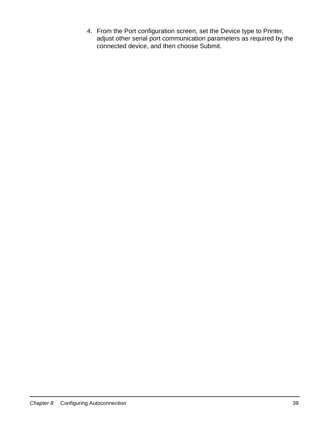4. From the Port configuration screen, set the Device type to Printer, adjust other serial port communication parameters as required by the connected device, and then choose Submit.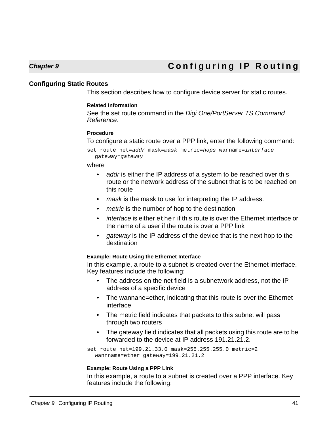# **Chapter 9 Configuring IP Routing**

## **Configuring Static Routes**

This section describes how to configure device server for static routes.

#### **Related Information**

See the set route command in the Digi One/PortServer TS Command Reference.

#### **Procedure**

To configure a static route over a PPP link, enter the following command:

set route net=addr mask=mask metric=hops wanname=interface gateway=gateway

#### where

- addr is either the IP address of a system to be reached over this route or the network address of the subnet that is to be reached on this route
- mask is the mask to use for interpreting the IP address.
- metric is the number of hop to the destination
- *interface* is either ether if this route is over the Ethernet interface or the name of a user if the route is over a PPP link
- gateway is the IP address of the device that is the next hop to the destination

#### **Example: Route Using the Ethernet Interface**

In this example, a route to a subnet is created over the Ethernet interface. Key features include the following:

- The address on the net field is a subnetwork address, not the IP address of a specific device
- The wannane=ether, indicating that this route is over the Ethernet interface
- The metric field indicates that packets to this subnet will pass through two routers
- The gateway field indicates that all packets using this route are to be forwarded to the device at IP address 191.21.21.2.

set route net=199.21.33.0 mask=255.255.255.0 metric=2 wannname=ether gateway=199.21.21.2

#### **Example: Route Using a PPP Link**

In this example, a route to a subnet is created over a PPP interface. Key features include the following: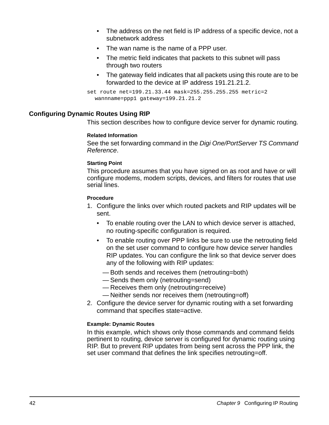- The address on the net field is IP address of a specific device, not a subnetwork address
- The wan name is the name of a PPP user.
- The metric field indicates that packets to this subnet will pass through two routers
- The gateway field indicates that all packets using this route are to be forwarded to the device at IP address 191.21.21.2.

```
set route net=199.21.33.44 mask=255.255.255.255 metric=2 
  wannname=ppp1 gateway=199.21.21.2
```
# **Configuring Dynamic Routes Using RIP**

This section describes how to configure device server for dynamic routing.

#### **Related Information**

See the set forwarding command in the Digi One/PortServer TS Command Reference.

## **Starting Point**

This procedure assumes that you have signed on as root and have or will configure modems, modem scripts, devices, and filters for routes that use serial lines.

## **Procedure**

- 1. Configure the links over which routed packets and RIP updates will be sent.
	- To enable routing over the LAN to which device server is attached, no routing-specific configuration is required.
	- To enable routing over PPP links be sure to use the netrouting field on the set user command to configure how device server handles RIP updates. You can configure the link so that device server does any of the following with RIP updates:
		- Both sends and receives them (netrouting=both)
		- Sends them only (netrouting=send)
		- Receives them only (netrouting=receive)
		- Neither sends nor receives them (netrouting=off)
- 2. Configure the device server for dynamic routing with a set forwarding command that specifies state=active.

# **Example: Dynamic Routes**

In this example, which shows only those commands and command fields pertinent to routing, device server is configured for dynamic routing using RIP. But to prevent RIP updates from being sent across the PPP link, the set user command that defines the link specifies netrouting=off.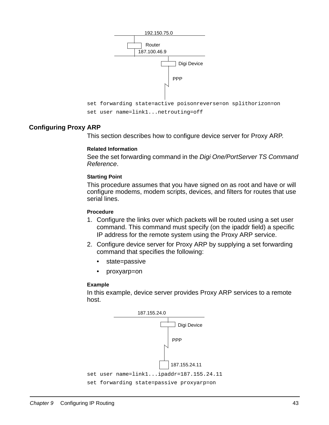

## **Configuring Proxy ARP**

This section describes how to configure device server for Proxy ARP.

#### **Related Information**

See the set forwarding command in the Digi One/PortServer TS Command Reference.

#### **Starting Point**

This procedure assumes that you have signed on as root and have or will configure modems, modem scripts, devices, and filters for routes that use serial lines.

#### **Procedure**

- 1. Configure the links over which packets will be routed using a set user command. This command must specify (on the ipaddr field) a specific IP address for the remote system using the Proxy ARP service.
- 2. Configure device server for Proxy ARP by supplying a set forwarding command that specifies the following:
	- state=passive
	- proxyarp=on

#### **Example**

In this example, device server provides Proxy ARP services to a remote host.

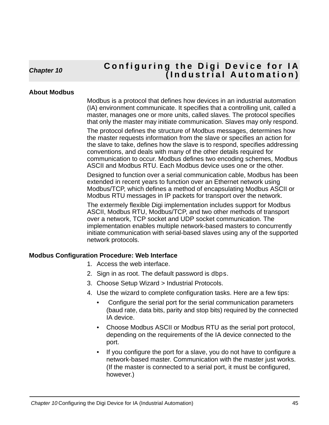# **Chapter 10 Configuring the Digi Device for IA (Industrial Automation)**

# **About Modbus**

Modbus is a protocol that defines how devices in an industrial automation (IA) environment communicate. It specifies that a controlling unit, called a master, manages one or more units, called slaves. The protocol specifies that only the master may initiate communication. Slaves may only respond.

The protocol defines the structure of Modbus messages, determines how the master requests information from the slave or specifies an action for the slave to take, defines how the slave is to respond, specifies addressing conventions, and deals with many of the other details required for communication to occur. Modbus defines two encoding schemes, Modbus ASCII and Modbus RTU. Each Modbus device uses one or the other.

Designed to function over a serial communication cable, Modbus has been extended in recent years to function over an Ethernet network using Modbus/TCP, which defines a method of encapsulating Modbus ASCII or Modbus RTU messages in IP packets for transport over the network.

The extermely flexible Digi implementation includes support for Modbus ASCII, Modbus RTU, Modbus/TCP, and two other methods of transport over a network, TCP socket and UDP socket communication. The implementation enables multiple network-based masters to concurrently initiate communication with serial-based slaves using any of the supported network protocols.

# **Modbus Configuration Procedure: Web Interface**

- 1. Access the web interface.
- 2. Sign in as root. The default password is dbps.
- 3. Choose Setup Wizard > Industrial Protocols.
- 4. Use the wizard to complete configuration tasks. Here are a few tips:
	- Configure the serial port for the serial communication parameters (baud rate, data bits, parity and stop bits) required by the connected IA device.
	- Choose Modbus ASCII or Modbus RTU as the serial port protocol, depending on the requirements of the IA device connected to the port.
	- If you configure the port for a slave, you do not have to configure a network-based master. Communication with the master just works. (If the master is connected to a serial port, it must be configured, however.)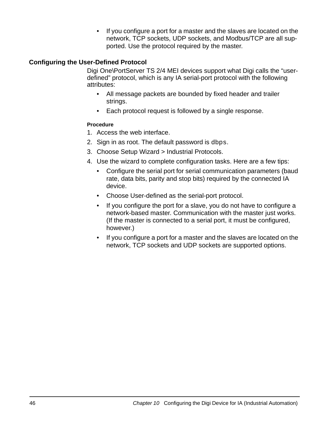• If you configure a port for a master and the slaves are located on the network, TCP sockets, UDP sockets, and Modbus/TCP are all supported. Use the protocol required by the master.

# **Configuring the User-Defined Protocol**

Digi One\PortServer TS 2/4 MEI devices support what Digi calls the "userdefined" protocol, which is any IA serial-port protocol with the following attributes:

- All message packets are bounded by fixed header and trailer strings.
- Each protocol request is followed by a single response.

# **Procedure**

- 1. Access the web interface.
- 2. Sign in as root. The default password is dbps.
- 3. Choose Setup Wizard > Industrial Protocols.
- 4. Use the wizard to complete configuration tasks. Here are a few tips:
	- Configure the serial port for serial communication parameters (baud rate, data bits, parity and stop bits) required by the connected IA device.
	- Choose User-defined as the serial-port protocol.
	- If you configure the port for a slave, you do not have to configure a network-based master. Communication with the master just works. (If the master is connected to a serial port, it must be configured, however.)
	- If you configure a port for a master and the slaves are located on the network, TCP sockets and UDP sockets are supported options.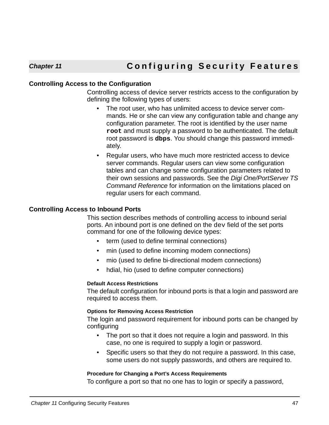# **Controlling Access to the Configuration**

Controlling access of device server restricts access to the configuration by defining the following types of users:

- The root user, who has unlimited access to device server commands. He or she can view any configuration table and change any configuration parameter. The root is identified by the user name **root** and must supply a password to be authenticated. The default root password is **dbps**. You should change this password immediately.
- Regular users, who have much more restricted access to device server commands. Regular users can view some configuration tables and can change some configuration parameters related to their own sessions and passwords. See the Digi One/PortServer TS Command Reference for information on the limitations placed on regular users for each command.

# **Controlling Access to Inbound Ports**

This section describes methods of controlling access to inbound serial ports. An inbound port is one defined on the dev field of the set ports command for one of the following device types:

- term (used to define terminal connections)
- min (used to define incoming modem connections)
- mio (used to define bi-directional modem connections)
- hdial, hio (used to define computer connections)

#### **Default Access Restrictions**

The default configuration for inbound ports is that a login and password are required to access them.

#### **Options for Removing Access Restriction**

The login and password requirement for inbound ports can be changed by configuring

- The port so that it does not require a login and password. In this case, no one is required to supply a login or password.
- Specific users so that they do not require a password. In this case, some users do not supply passwords, and others are required to.

#### **Procedure for Changing a Port's Access Requirements**

To configure a port so that no one has to login or specify a password,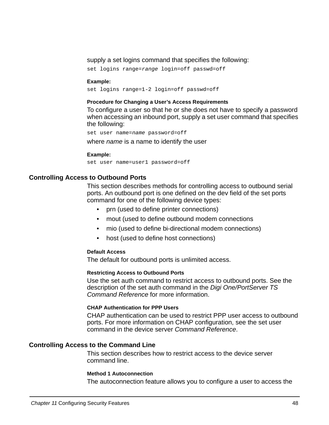#### supply a set logins command that specifies the following:

set logins range=range login=off passwd=off

#### **Example:**

set logins range=1-2 login=off passwd=off

#### **Procedure for Changing a User's Access Requirements**

To configure a user so that he or she does not have to specify a password when accessing an inbound port, supply a set user command that specifies the following:

set user name=name password=off

where *name* is a name to identify the user

#### **Example:**

set user name=user1 password=off

#### **Controlling Access to Outbound Ports**

This section describes methods for controlling access to outbound serial ports. An outbound port is one defined on the dev field of the set ports command for one of the following device types:

- prn (used to define printer connections)
- mout (used to define outbound modem connections
- mio (used to define bi-directional modem connections)
- host (used to define host connections)

#### **Default Access**

The default for outbound ports is unlimited access.

#### **Restricting Access to Outbound Ports**

Use the set auth command to restrict access to outbound ports. See the description of the set auth command in the Digi One/PortServer TS Command Reference for more information.

#### **CHAP Authentication for PPP Users**

CHAP authentication can be used to restrict PPP user access to outbound ports. For more information on CHAP configuration, see the set user command in the device server Command Reference.

#### **Controlling Access to the Command Line**

This section describes how to restrict access to the device server command line.

#### **Method 1 Autoconnection**

The autoconnection feature allows you to configure a user to access the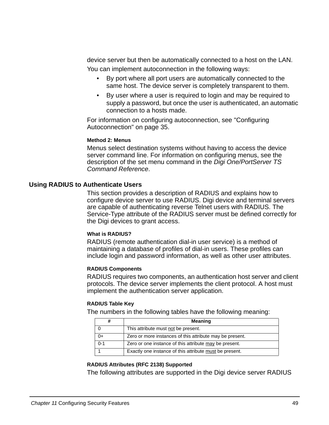device server but then be automatically connected to a host on the LAN. You can implement autoconnection in the following ways:

- By port where all port users are automatically connected to the same host. The device server is completely transparent to them.
- By user where a user is required to login and may be required to supply a password, but once the user is authenticated, an automatic connection to a hosts made.

For information on configuring autoconnection, see ["Configuring](#page-34-0)  [Autoconnection" on page 35](#page-34-0).

#### **Method 2: Menus**

Menus select destination systems without having to access the device server command line. For information on configuring menus, see the description of the set menu command in the Digi One/PortServer TS Command Reference.

## **Using RADIUS to Authenticate Users**

This section provides a description of RADIUS and explains how to configure device server to use RADIUS. Digi device and terminal servers are capable of authenticating reverse Telnet users with RADIUS. The Service-Type attribute of the RADIUS server must be defined correctly for the Digi devices to grant access.

#### **What is RADIUS?**

RADIUS (remote authentication dial-in user service) is a method of maintaining a database of profiles of dial-in users. These profiles can include login and password information, as well as other user attributes.

#### **RADIUS Components**

RADIUS requires two components, an authentication host server and client protocols. The device server implements the client protocol. A host must implement the authentication server application.

## **RADIUS Table Key**

The numbers in the following tables have the following meaning:

|         | <b>Meaning</b>                                           |
|---------|----------------------------------------------------------|
|         | This attribute must not be present.                      |
| 0+      | Zero or more instances of this attribute may be present. |
| $0 - 1$ | Zero or one instance of this attribute may be present.   |
|         | Exactly one instance of this attribute must be present.  |

#### **RADIUS Attributes (RFC 2138) Supported**

The following attributes are supported in the Digi device server RADIUS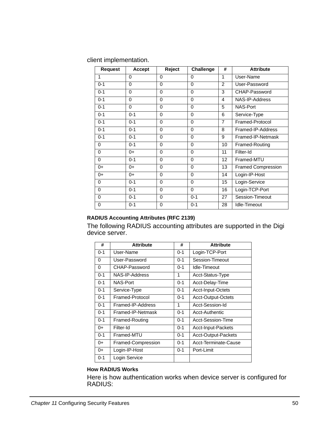client implementation.

| <b>Request</b> | Accept   | Reject       | <b>Challenge</b> | #              | <b>Attribute</b>          |
|----------------|----------|--------------|------------------|----------------|---------------------------|
| 1              | $\Omega$ | 0            | $\Omega$         | 1              | User-Name                 |
| $0 - 1$        | 0        | 0            | 0                | 2              | User-Password             |
| $0 - 1$        | 0        | 0            | 0                | 3              | CHAP-Password             |
| $0 - 1$        | 0        | $\mathbf{0}$ | $\mathbf{0}$     | 4              | NAS-IP-Address            |
| $0 - 1$        | $\Omega$ | $\mathbf{0}$ | $\mathbf{0}$     | 5              | NAS-Port                  |
| $0 - 1$        | $0 - 1$  | $\mathbf{0}$ | $\mathbf{0}$     | 6              | Service-Type              |
| $0 - 1$        | $0 - 1$  | $\mathbf{0}$ | $\Omega$         | $\overline{7}$ | Framed-Protocol           |
| $0 - 1$        | $0 - 1$  | $\Omega$     | $\mathbf{0}$     | 8              | Framed-IP-Address         |
| $0 - 1$        | $0 - 1$  | $\mathbf{0}$ | $\Omega$         | 9              | Framed-IP-Netmask         |
| 0              | $0 - 1$  | $\mathbf{0}$ | $\mathbf{0}$     | 10             | Framed-Routing            |
| 0              | 0+       | 0            | 0                | 11             | Filter-Id                 |
| 0              | $0 - 1$  | $\mathbf{0}$ | 0                | 12             | Framed-MTU                |
| $0+$           | $0+$     | $\Omega$     | 0                | 13             | <b>Framed Compression</b> |
| $0+$           | $0+$     | $\mathbf{0}$ | 0                | 14             | Login-IP-Host             |
| 0              | $0 - 1$  | $\Omega$     | $\Omega$         | 15             | Login-Service             |
| 0              | $0 - 1$  | $\mathbf{0}$ | $\Omega$         | 16             | Login-TCP-Port            |
| 0              | $0 - 1$  | $\Omega$     | $0 - 1$          | 27             | Session-Timeout           |
| 0              | $0 - 1$  | $\Omega$     | $0 - 1$          | 28             | Idle-Timeout              |

# **RADIUS Accounting Attributes (RFC 2139)**

The following RADIUS accounting attributes are supported in the Digi device server.

| #       | <b>Attribute</b>   | #       | <b>Attribute</b>     |
|---------|--------------------|---------|----------------------|
| $0 - 1$ | User-Name          | $0 - 1$ | Login-TCP-Port       |
| 0       | User-Password      | $0 - 1$ | Session-Timeout      |
| 0       | CHAP-Password      | $0 - 1$ | Idle-Timeout         |
| $0 - 1$ | NAS-IP-Address     | 1       | Acct-Status-Type     |
| $0 - 1$ | NAS-Port           | $0 - 1$ | Acct-Delay-Time      |
| $0 - 1$ | Service-Type       | $0 - 1$ | Acct-Input-Octets    |
| $0 - 1$ | Framed-Protocol    | $0 - 1$ | Acct-Output-Octets   |
| $0 - 1$ | Framed-IP-Address  | 1       | Acct-Session-Id      |
| $0 - 1$ | Framed-IP-Netmask  | $0 - 1$ | Acct-Authentic       |
| $0 - 1$ | Framed-Routing     | $0 - 1$ | Acct-Session-Time    |
| $0+$    | Filter-Id          | $0 - 1$ | Acct-Input-Packets   |
| $0 - 1$ | Framed-MTU         | $0 - 1$ | Acct-Output-Packets  |
| $0+$    | Framed-Compression | $0 - 1$ | Acct-Terminate-Cause |
| 0+      | Login-IP-Host      | $0 - 1$ | Port-Limit           |
| $0 - 1$ | Login Service      |         |                      |

## **How RADIUS Works**

Here is how authentication works when device server is configured for RADIUS: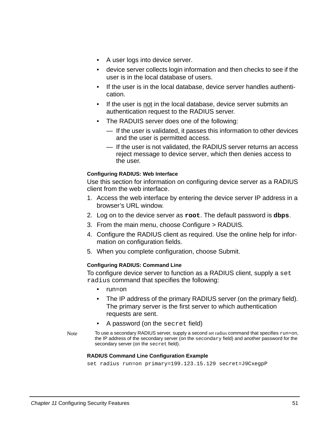- A user logs into device server.
- device server collects login information and then checks to see if the user is in the local database of users.
- If the user is in the local database, device server handles authentication.
- If the user is not in the local database, device server submits an authentication request to the RADIUS server.
- The RADUIS server does one of the following:
	- If the user is validated, it passes this information to other devices and the user is permitted access.
	- If the user is not validated, the RADIUS server returns an access reject message to device server, which then denies access to the user.

## **Configuring RADIUS: Web Interface**

Use this section for information on configuring device server as a RADIUS client from the web interface.

- 1. Access the web interface by entering the device server IP address in a browser's URL window.
- 2. Log on to the device server as **root**. The default password is **dbps**.
- 3. From the main menu, choose Configure > RADUIS.
- 4. Configure the RADIUS client as required. Use the online help for information on configuration fields.
- 5. When you complete configuration, choose Submit.

#### **Configuring RADIUS: Command Line**

To configure device server to function as a RADIUS client, supply a set radius command that specifies the following:

- run=on
- The IP address of the primary RADIUS server (on the primary field). The primary server is the first server to which authentication requests are sent.
- A password (on the secret field)
- Note To use a secondary RADIUS server, supply a second set radius command that specifies run=on, the IP address of the secondary server (on the secondary field) and another password for the secondary server (on the secret field).

#### **RADIUS Command Line Configuration Example**

```
set radius run=on primary=199.123.15.129 secret=J9CxegpP
```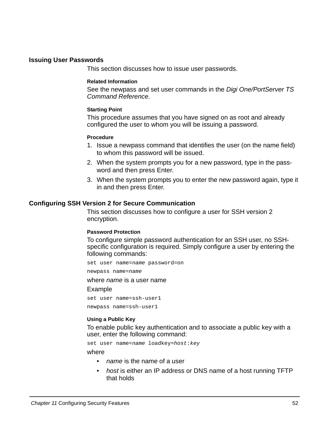#### **Issuing User Passwords**

This section discusses how to issue user passwords.

#### **Related Information**

See the newpass and set user commands in the Digi One/PortServer TS Command Reference.

#### **Starting Point**

This procedure assumes that you have signed on as root and already configured the user to whom you will be issuing a password.

#### **Procedure**

- 1. Issue a newpass command that identifies the user (on the name field) to whom this password will be issued.
- 2. When the system prompts you for a new password, type in the password and then press Enter.
- 3. When the system prompts you to enter the new password again, type it in and then press Enter.

#### **Configuring SSH Version 2 for Secure Communication**

This section discusses how to configure a user for SSH version 2 encryption.

#### **Password Protection**

To configure simple password authentication for an SSH user, no SSHspecific configuration is required. Simply configure a user by entering the following commands:

set user name=name password=on

newpass name=name

where *name* is a user name

#### Example

set user name=ssh-user1 newpass name=ssh-user1

#### **Using a Public Key**

To enable public key authentication and to associate a public key with a user, enter the following command:

set user name=name loadkey=host: key

where

- *name* is the name of a user
- host is either an IP address or DNS name of a host running TFTP that holds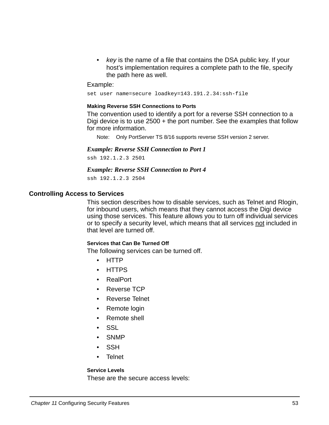• key is the name of a file that contains the DSA public key. If your host's implementation requires a complete path to the file, specify the path here as well.

#### Example:

set user name=secure loadkey=143.191.2.34:ssh-file

#### **Making Reverse SSH Connections to Ports**

The convention used to identify a port for a reverse SSH connection to a Digi device is to use 2500 + the port number. See the examples that follow for more information.

Note: Only PortServer TS 8/16 supports reverse SSH version 2 server.

#### *Example: Reverse SSH Connection to Port 1*

ssh 192.1.2.3 2501

#### *Example: Reverse SSH Connection to Port 4*

ssh 192.1.2.3 2504

#### **Controlling Access to Services**

This section describes how to disable services, such as Telnet and Rlogin, for inbound users, which means that they cannot access the Digi device using those services. This feature allows you to turn off individual services or to specify a security level, which means that all services not included in that level are turned off.

#### **Services that Can Be Turned Off**

The following services can be turned off.

- HTTP
- HTTPS
- RealPort
- Reverse TCP
- Reverse Telnet
- Remote login
- Remote shell
- SSL
- **SNMP**
- SSH
- Telnet

#### **Service Levels**

These are the secure access levels: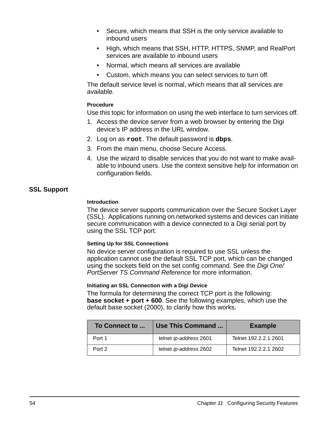- Secure, which means that SSH is the only service available to inbound users
- High, which means that SSH, HTTP, HTTPS, SNMP, and RealPort services are available to inbound users
- Normal, which means all services are available
- Custom, which means you can select services to turn off.

The default service level is normal, which means that all services are available.

## **Procedure**

Use this topic for information on using the web interface to turn services off.

- 1. Access the device server from a web browser by entering the Digi device's IP address in the URL window.
- 2. Log on as **root**. The default password is **dbps**.
- 3. From the main menu, choose Secure Access.
- 4. Use the wizard to disable services that you do not want to make available to inbound users. Use the context sensitive help for information on configuration fields.

# **SSL Support**

## **Introduction**

The device server supports communication over the Secure Socket Layer (SSL). Applications running on networked systems and devices can initiate secure communication with a device connected to a Digi serial port by using the SSL TCP port.

#### **Setting Up for SSL Connections**

No device server configuration is required to use SSL unless the application cannot use the default SSL TCP port, which can be changed using the sockets field on the set config command. See the Digi One/ PortServer TS Command Reference for more information.

#### **Initiating an SSL Connection with a Digi Device**

The formula for determining the correct TCP port is the following: **base socket + port + 600**. See the following examples, which use the default base socket (2000), to clarify how this works.

| To Connect to | Use This Command       | <b>Example</b>        |
|---------------|------------------------|-----------------------|
| Port 1        | telnet ip-address 2601 | Telnet 192.2.2.1 2601 |
| Port 2        | telnet ip-address 2602 | Telnet 192.2.2.1 2602 |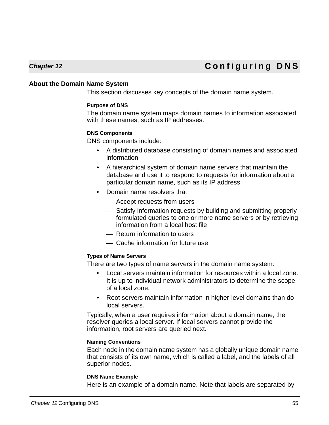# **Chapter 12 Configuring DNS**

#### **About the Domain Name System**

This section discusses key concepts of the domain name system.

#### **Purpose of DNS**

The domain name system maps domain names to information associated with these names, such as IP addresses.

#### **DNS Components**

DNS components include:

- A distributed database consisting of domain names and associated information
- A hierarchical system of domain name servers that maintain the database and use it to respond to requests for information about a particular domain name, such as its IP address
- Domain name resolvers that
	- Accept requests from users
	- Satisfy information requests by building and submitting properly formulated queries to one or more name servers or by retrieving information from a local host file
	- Return information to users
	- Cache information for future use

# **Types of Name Servers**

There are two types of name servers in the domain name system:

- Local servers maintain information for resources within a local zone. It is up to individual network administrators to determine the scope of a local zone.
- Root servers maintain information in higher-level domains than do local servers.

Typically, when a user requires information about a domain name, the resolver queries a local server. If local servers cannot provide the information, root servers are queried next.

#### **Naming Conventions**

Each node in the domain name system has a globally unique domain name that consists of its own name, which is called a label, and the labels of all superior nodes.

#### **DNS Name Example**

Here is an example of a domain name. Note that labels are separated by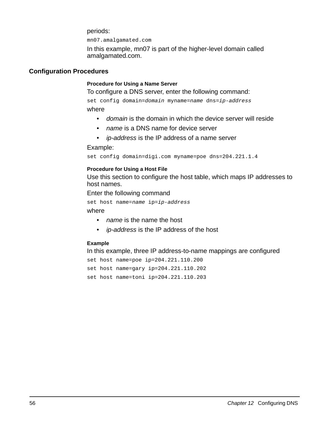periods:

mn07.amalgamated.com

In this example, mn07 is part of the higher-level domain called amalgamated.com.

## **Configuration Procedures**

#### **Procedure for Using a Name Server**

To configure a DNS server, enter the following command:

set config domain=domain myname=name dns=ip-address where

- domain is the domain in which the device server will reside
- *name* is a DNS name for device server
- *ip-address* is the IP address of a name server

#### Example:

set config domain=digi.com myname=poe dns=204.221.1.4

#### **Procedure for Using a Host File**

Use this section to configure the host table, which maps IP addresses to host names.

Enter the following command

set host name=name ip=ip-address

where

- *name* is the name the host
- *ip-address* is the IP address of the host

#### **Example**

In this example, three IP address-to-name mappings are configured

```
set host name=poe ip=204.221.110.200
set host name=gary ip=204.221.110.202
set host name=toni ip=204.221.110.203
```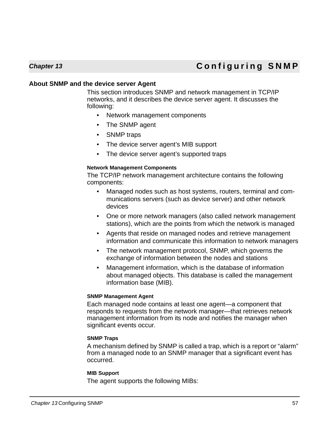# **Chapter 13 Configuring SNMP**

# **About SNMP and the device server Agent**

This section introduces SNMP and network management in TCP/IP networks, and it describes the device server agent. It discusses the following:

- Network management components
- The SNMP agent
- SNMP traps
- The device server agent's MIB support
- The device server agent's supported traps

#### **Network Management Components**

The TCP/IP network management architecture contains the following components:

- Managed nodes such as host systems, routers, terminal and communications servers (such as device server) and other network devices
- One or more network managers (also called network management stations), which are the points from which the network is managed
- Agents that reside on managed nodes and retrieve management information and communicate this information to network managers
- The network management protocol, SNMP, which governs the exchange of information between the nodes and stations
- Management information, which is the database of information about managed objects. This database is called the management information base (MIB).

#### **SNMP Management Agent**

Each managed node contains at least one agent—a component that responds to requests from the network manager—that retrieves network management information from its node and notifies the manager when significant events occur.

#### **SNMP Traps**

A mechanism defined by SNMP is called a trap, which is a report or "alarm" from a managed node to an SNMP manager that a significant event has occurred.

#### **MIB Support**

The agent supports the following MIBs: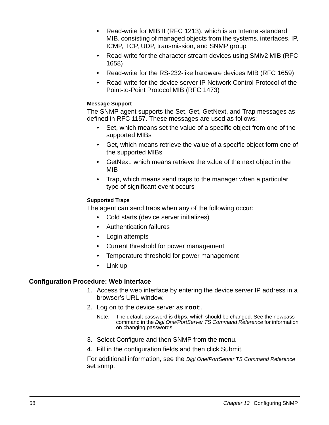- Read-write for MIB II (RFC 1213), which is an Internet-standard MIB, consisting of managed objects from the systems, interfaces, IP, ICMP, TCP, UDP, transmission, and SNMP group
- Read-write for the character-stream devices using SMIv2 MIB (RFC) 1658)
- Read-write for the RS-232-like hardware devices MIB (RFC 1659)
- Read-write for the device server IP Network Control Protocol of the Point-to-Point Protocol MIB (RFC 1473)

## **Message Support**

The SNMP agent supports the Set, Get, GetNext, and Trap messages as defined in RFC 1157. These messages are used as follows:

- Set, which means set the value of a specific object from one of the supported MIBs
- Get, which means retrieve the value of a specific object form one of the supported MIBs
- GetNext, which means retrieve the value of the next object in the MIB
- Trap, which means send traps to the manager when a particular type of significant event occurs

# **Supported Traps**

The agent can send traps when any of the following occur:

- Cold starts (device server initializes)
- Authentication failures
- Login attempts
- Current threshold for power management
- Temperature threshold for power management
- Link up

# **Configuration Procedure: Web Interface**

- 1. Access the web interface by entering the device server IP address in a browser's URL window.
- 2. Log on to the device server as **root**.
	- Note: The default password is **dbps**, which should be changed. See the newpass command in the Digi One/PortServer TS Command Reference for information on changing passwords.
- 3. Select Configure and then SNMP from the menu.
- 4. Fill in the configuration fields and then click Submit.

For additional information, see the Digi One/PortServer TS Command Reference set snmp.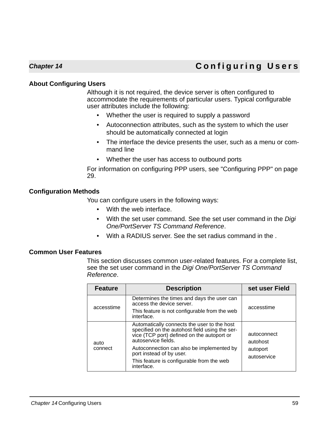# **Chapter 14 Configuring Users**

# **About Configuring Users**

Although it is not required, the device server is often configured to accommodate the requirements of particular users. Typical configurable user attributes include the following:

- Whether the user is required to supply a password
- Autoconnection attributes, such as the system to which the user should be automatically connected at login
- The interface the device presents the user, such as a menu or command line
- Whether the user has access to outbound ports

For information on configuring PPP users, see ["Configuring PPP" on page](#page-28-0)  [29](#page-28-0).

# **Configuration Methods**

You can configure users in the following ways:

- With the web interface.
- With the set user command. See the set user command in the Digi One/PortServer TS Command Reference.
- With a RADIUS server. See the set radius command in the .

# **Common User Features**

This section discusses common user-related features. For a complete list, see the set user command in the Digi One/PortServer TS Command Reference.

| <b>Feature</b>  | <b>Description</b>                                                                                                                                                                                                                                                                                     | set user Field                                     |
|-----------------|--------------------------------------------------------------------------------------------------------------------------------------------------------------------------------------------------------------------------------------------------------------------------------------------------------|----------------------------------------------------|
| accesstime      | Determines the times and days the user can<br>access the device server.                                                                                                                                                                                                                                | accesstime                                         |
|                 | This feature is not configurable from the web<br>interface.                                                                                                                                                                                                                                            |                                                    |
| auto<br>connect | Automatically connects the user to the host<br>specified on the autohost field using the ser-<br>vice (TCP port) defined on the autoport or<br>autoservice fields.<br>Autoconnection can also be implemented by<br>port instead of by user.<br>This feature is configurable from the web<br>interface. | autoconnect<br>autohost<br>autoport<br>autoservice |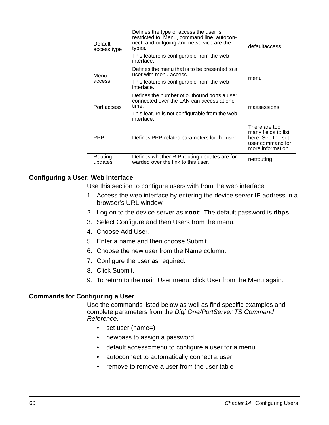| Default<br>access type | Defines the type of access the user is<br>restricted to. Menu, command line, autocon-<br>nect, and outgoing and netservice are the<br>types.<br>This feature is configurable from the web<br>interface. | defaultaccess                                                                                      |
|------------------------|---------------------------------------------------------------------------------------------------------------------------------------------------------------------------------------------------------|----------------------------------------------------------------------------------------------------|
| Menu                   | Defines the menu that is to be presented to a<br>user with menu access.                                                                                                                                 |                                                                                                    |
| access                 | This feature is configurable from the web<br>interface.                                                                                                                                                 | menu                                                                                               |
| Port access            | Defines the number of outbound ports a user<br>connected over the LAN can access at one<br>time.                                                                                                        | maxsessions                                                                                        |
|                        | This feature is not configurable from the web<br>interface.                                                                                                                                             |                                                                                                    |
| <b>PPP</b>             | Defines PPP-related parameters for the user.                                                                                                                                                            | There are too<br>many fields to list<br>here. See the set<br>user command for<br>more information. |
| Routing<br>updates     | Defines whether RIP routing updates are for-<br>warded over the link to this user.                                                                                                                      | netrouting                                                                                         |

# **Configuring a User: Web Interface**

Use this section to configure users with from the web interface.

- 1. Access the web interface by entering the device server IP address in a browser's URL window.
- 2. Log on to the device server as **root**. The default password is **dbps**.
- 3. Select Configure and then Users from the menu.
- 4. Choose Add User.
- 5. Enter a name and then choose Submit
- 6. Choose the new user from the Name column.
- 7. Configure the user as required.
- 8. Click Submit.
- 9. To return to the main User menu, click User from the Menu again.

# **Commands for Configuring a User**

Use the commands listed below as well as find specific examples and complete parameters from the Digi One/PortServer TS Command Reference.

- set user (name=)
- newpass to assign a password
- default access=menu to configure a user for a menu
- autoconnect to automatically connect a user
- remove to remove a user from the user table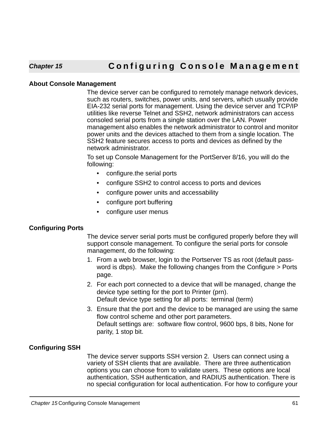# **Chapter 15 Configuring Console Management**

## **About Console Management**

The device server can be configured to remotely manage network devices, such as routers, switches, power units, and servers, which usually provide EIA-232 serial ports for management. Using the device server and TCP/IP utilities like reverse Telnet and SSH2, network administrators can access consoled serial ports from a single station over the LAN. Power management also enables the network administrator to control and monitor power units and the devices attached to them from a single location. The SSH2 feature secures access to ports and devices as defined by the network administrator.

To set up Console Management for the PortServer 8/16, you will do the following:

- configure.the serial ports
- configure SSH2 to control access to ports and devices
- configure power units and accessability
- configure port buffering
- configure user menus

# **Configuring Ports**

The device server serial ports must be configured properly before they will support console management. To configure the serial ports for console management, do the following:

- 1. From a web browser, login to the Portserver TS as root (default password is dbps). Make the following changes from the Configure > Ports page.
- 2. For each port connected to a device that will be managed, change the device type setting for the port to Printer (prn). Default device type setting for all ports: terminal (term)
- 3. Ensure that the port and the device to be managed are using the same flow control scheme and other port parameters. Default settings are: software flow control, 9600 bps, 8 bits, None for parity, 1 stop bit.

# **Configuring SSH**

The device server supports SSH version 2. Users can connect using a variety of SSH clients that are available. There are three authentication options you can choose from to validate users. These options are local authentication, SSH authentication, and RADIUS authentication. There is no special configuration for local authentication. For how to configure your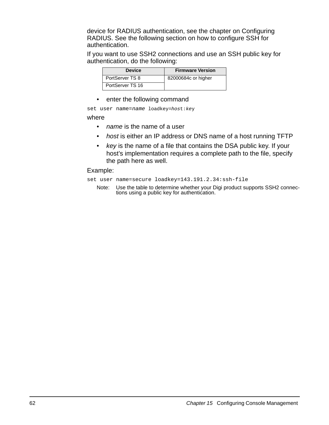device for RADIUS authentication, see the chapter on Configuring RADIUS. See the following section on how to configure SSH for authentication.

If you want to use SSH2 connections and use an SSH public key for authentication, do the following:

| <b>Device</b>    | <b>Firmware Version</b> |
|------------------|-------------------------|
| PortServer TS 8  | 82000684c or higher     |
| PortServer TS 16 |                         |

• enter the following command

set user name=name loadkey=host: key

#### where

- *name* is the name of a user
- host is either an IP address or DNS name of a host running TFTP
- key is the name of a file that contains the DSA public key. If your host's implementation requires a complete path to the file, specify the path here as well.

#### Example:

set user name=secure loadkey=143.191.2.34:ssh-file

Note: Use the table to determine whether your Digi product supports SSH2 connections using a public key for authentication.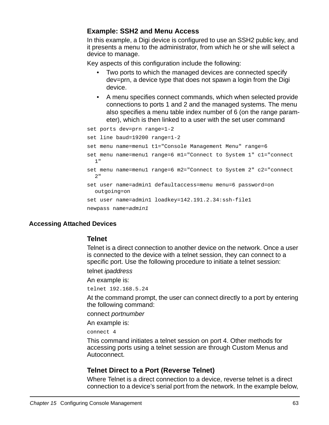# **Example: SSH2 and Menu Access**

In this example, a Digi device is configured to use an SSH2 public key, and it presents a menu to the administrator, from which he or she will select a device to manage.

Key aspects of this configuration include the following:

- Two ports to which the managed devices are connected specify dev=prn, a device type that does not spawn a login from the Digi device.
- A menu specifies connect commands, which when selected provide connections to ports 1 and 2 and the managed systems. The menu also specifies a menu table index number of 6 (on the range parameter), which is then linked to a user with the set user command

```
set ports dev=prn range=1-2 
set line baud=19200 range=1-2
set menu name=menu1 t1="Console Management Menu" range=6 
set menu name=menu1 range=6 m1="Connect to System 1" c1="connect 
  1" 
set menu name=menu1 range=6 m2="Connect to System 2" c2="connect 
  2"set user name=admin1 defaultaccess=menu menu=6 password=on 
  outgoing=on
set user name=admin1 loadkey=142.191.2.34:ssh-file1
newpass name=admin1
```
# **Accessing Attached Devices**

# **Telnet**

Telnet is a direct connection to another device on the network. Once a user is connected to the device with a telnet session, they can connect to a specific port. Use the following procedure to initiate a telnet session:

telnet ipaddress

An example is:

telnet 192.168.5.24

At the command prompt, the user can connect directly to a port by entering the following command:

connect portnumber

An example is:

connect 4

This command initiates a telnet session on port 4. Other methods for accessing ports using a telnet session are through Custom Menus and Autoconnect.

# **Telnet Direct to a Port (Reverse Telnet)**

Where Telnet is a direct connection to a device, reverse telnet is a direct connection to a device's serial port from the network. In the example below,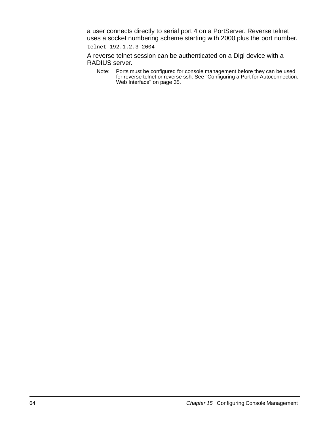a user connects directly to serial port 4 on a PortServer. Reverse telnet uses a socket numbering scheme starting with 2000 plus the port number.

telnet 192.1.2.3 2004

A reverse telnet session can be authenticated on a Digi device with a RADIUS server.

Note: Ports must be configured for console management before they can be used for reverse telnet or reverse ssh. See ["Configuring a Port for Autoconnection:](#page-34-1)  [Web Interface" on page 35](#page-34-1).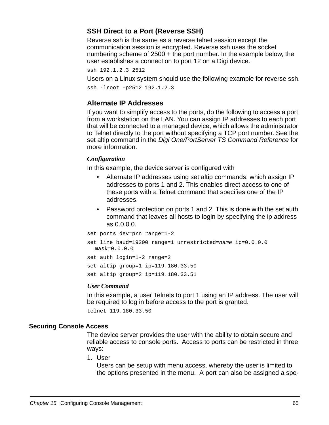# **SSH Direct to a Port (Reverse SSH)**

Reverse ssh is the same as a reverse telnet session except the communication session is encrypted. Reverse ssh uses the socket numbering scheme of 2500 + the port number. In the example below, the user establishes a connection to port 12 on a Digi device.

```
ssh 192.1.2.3 2512
```
Users on a Linux system should use the following example for reverse ssh.

ssh -lroot -p2512 192.1.2.3

# **Alternate IP Addresses**

If you want to simplify access to the ports, do the following to access a port from a workstation on the LAN. You can assign IP addresses to each port that will be connected to a managed device, which allows the administrator to Telnet directly to the port without specifying a TCP port number. See the set altip command in the Digi One/PortServer TS Command Reference for more information.

## *Configuration*

In this example, the device server is configured with

- Alternate IP addresses using set altip commands, which assign IP addresses to ports 1 and 2. This enables direct access to one of these ports with a Telnet command that specifies one of the IP addresses.
- Password protection on ports 1 and 2. This is done with the set auth command that leaves all hosts to login by specifying the ip address as 0.0.0.0.

```
set ports dev=prn range=1-2 
set line baud=19200 range=1 unrestricted=name ip=0.0.0.0 
  mask=0.0.0.0
set auth login=1-2 range=2
set altip group=1 ip=119.180.33.50
set altip group=2 ip=119.180.33.51
```
#### *User Command*

In this example, a user Telnets to port 1 using an IP address. The user will be required to log in before access to the port is granted.

telnet 119.180.33.50

#### **Securing Console Access**

The device server provides the user with the ability to obtain secure and reliable access to console ports. Access to ports can be restricted in three ways:

1. User

Users can be setup with menu access, whereby the user is limited to the options presented in the menu. A port can also be assigned a spe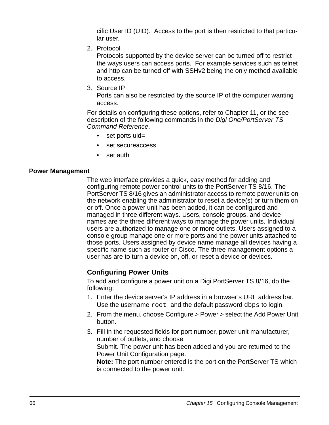cific User ID (UID). Access to the port is then restricted to that particular user.

2. Protocol

Protocols supported by the device server can be turned off to restrict the ways users can access ports. For example services such as telnet and http can be turned off with SSHv2 being the only method available to access.

3. Source IP

Ports can also be restricted by the source IP of the computer wanting access.

For details on configuring these options, refer to Chapter 11, or the see description of the following commands in the Digi One/PortServer TS Command Reference.

- set ports uid=
- set secureaccess
- set auth

# **Power Management**

The web interface provides a quick, easy method for adding and configuring remote power control units to the PortServer TS 8/16. The PortServer TS 8/16 gives an administrator access to remote power units on the network enabling the administrator to reset a device(s) or turn them on or off. Once a power unit has been added, it can be configured and managed in three different ways. Users, console groups, and device names are the three different ways to manage the power units. Individual users are authorized to manage one or more outlets. Users assigned to a console group manage one or more ports and the power units attached to those ports. Users assigned by device name manage all devices having a specific name such as router or Cisco. The three management options a user has are to turn a device on, off, or reset a device or devices.

# **Configuring Power Units**

To add and configure a power unit on a Digi PortServer TS 8/16, do the following:

- 1. Enter the device server's IP address in a browser's URL address bar. Use the username root and the default password dbps to login.
- 2. From the menu, choose Configure > Power > select the Add Power Unit button.
- 3. Fill in the requested fields for port number, power unit manufacturer, number of outlets, and choose

Submit. The power unit has been added and you are returned to the Power Unit Configuration page.

**Note:** The port number entered is the port on the PortServer TS which is connected to the power unit.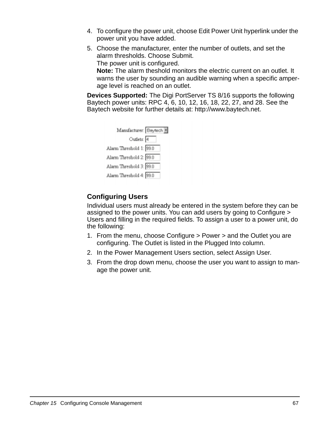- 4. To configure the power unit, choose Edit Power Unit hyperlink under the power unit you have added.
- 5. Choose the manufacturer, enter the number of outlets, and set the alarm thresholds. Choose Submit. The power unit is configured. **Note:** The alarm theshold monitors the electric current on an outlet. It

warns the user by sounding an audible warning when a specific amperage level is reached on an outlet.

**Devices Supported:** The Digi PortServer TS 8/16 supports the following Baytech power units: RPC 4, 6, 10, 12, 16, 18, 22, 27, and 28. See the Baytech website for further details at: http://www.baytech.net.

| Manufacturer: Beylech   |  |
|-------------------------|--|
| Outlets: 4              |  |
| Alarm Threshold 1: 99.0 |  |
| Alarm Threshold 2: 99.0 |  |
| Alarm Threshold 3: 99.0 |  |
| Alarm Threshold 4: 99.0 |  |
|                         |  |

# **Configuring Users**

Individual users must already be entered in the system before they can be assigned to the power units. You can add users by going to Configure > Users and filling in the required fields. To assign a user to a power unit, do the following:

- 1. From the menu, choose Configure > Power > and the Outlet you are configuring. The Outlet is listed in the Plugged Into column.
- 2. In the Power Management Users section, select Assign User.
- 3. From the drop down menu, choose the user you want to assign to manage the power unit.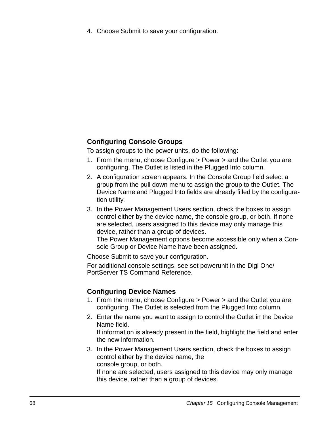4. Choose Submit to save your configuration.

# **Configuring Console Groups**

To assign groups to the power units, do the following:

- 1. From the menu, choose Configure > Power > and the Outlet you are configuring. The Outlet is listed in the Plugged Into column.
- 2. A configuration screen appears. In the Console Group field select a group from the pull down menu to assign the group to the Outlet. The Device Name and Plugged Into fields are already filled by the configuration utility.
- 3. In the Power Management Users section, check the boxes to assign control either by the device name, the console group, or both. If none are selected, users assigned to this device may only manage this device, rather than a group of devices.

The Power Management options become accessible only when a Console Group or Device Name have been assigned.

Choose Submit to save your configuration.

For additional console settings, see set powerunit in the Digi One/ PortServer TS Command Reference.

# **Configuring Device Names**

- 1. From the menu, choose Configure > Power > and the Outlet you are configuring. The Outlet is selected from the Plugged Into column.
- 2. Enter the name you want to assign to control the Outlet in the Device Name field. If information is already present in the field, highlight the field and enter the new information.
- 3. In the Power Management Users section, check the boxes to assign control either by the device name, the console group, or both.

If none are selected, users assigned to this device may only manage this device, rather than a group of devices.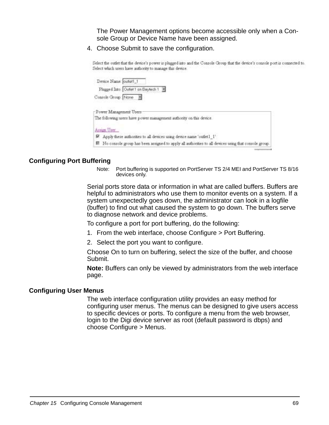The Power Management options become accessible only when a Console Group or Device Name have been assigned.

4. Choose Submit to save the configuration.

Select the outlet that the device's power is plugged into and the Console Group that the device's console port is connected to. Select which users have authority to manage this device.

| Device Name: outst1_1<br>Plugged Into: Outlet 1 on Beytech 1                                           |
|--------------------------------------------------------------------------------------------------------|
| Console Group: None                                                                                    |
|                                                                                                        |
| Power Management Users                                                                                 |
| The following users have power management authority on this device.                                    |
| Arrian Urer                                                                                            |
| R Apply these authorities to all devices using device name 'outlet1_1'                                 |
| ■ No conrole group has been assigned to apply all authorities to all devices using that console group. |

# **Configuring Port Buffering**

Note: Port buffering is supported on PortServer TS 2/4 MEI and PortServer TS 8/16 devices only.

Serial ports store data or information in what are called buffers. Buffers are helpful to administrators who use them to monitor events on a system. If a system unexpectedly goes down, the administrator can look in a logfile (buffer) to find out what caused the system to go down. The buffers serve to diagnose network and device problems.

To configure a port for port buffering, do the following:

- 1. From the web interface, choose Configure > Port Buffering.
- 2. Select the port you want to configure.

Choose On to turn on buffering, select the size of the buffer, and choose Submit.

**Note:** Buffers can only be viewed by administrators from the web interface page.

#### **Configuring User Menus**

The web interface configuration utility provides an easy method for configuring user menus. The menus can be designed to give users access to specific devices or ports. To configure a menu from the web browser, login to the Digi device server as root (default password is dbps) and choose Configure > Menus.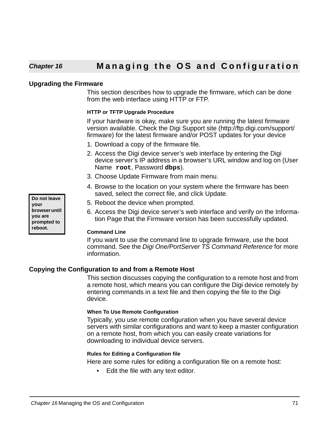# **Chapter 16 Managing the OS and Configuration**

## **Upgrading the Firmware**

This section describes how to upgrade the firmware, which can be done from the web interface using HTTP or FTP.

#### **HTTP or TFTP Upgrade Procedure**

If your hardware is okay, make sure you are running the latest firmware version available. Check the Digi Support site (http://ftp.digi.com/support/ firmware) for the latest firmware and/or POST updates for your device

- 1. Download a copy of the firmware file.
- 2. Access the Digi device server's web interface by entering the Digi device server's IP address in a browser's URL window and log on (User Name **root**, Password **dbps**).
- 3. Choose Update Firmware from main menu.
- 4. Browse to the location on your system where the firmware has been saved, select the correct file, and click Update.
- 5. Reboot the device when prompted.
- 6. Access the Digi device server's web interface and verify on the Information Page that the Firmware version has been successfully updated.

#### **Command Line**

If you want to use the command line to upgrade firmware, use the boot command. See the Digi One/PortServer TS Command Reference for more information.

# **Copying the Configuration to and from a Remote Host**

This section discusses copying the configuration to a remote host and from a remote host, which means you can configure the Digi device remotely by entering commands in a text file and then copying the file to the Digi device.

#### **When To Use Remote Configuration**

Typically, you use remote configuration when you have several device servers with similar configurations and want to keep a master configuration on a remote host, from which you can easily create variations for downloading to individual device servers.

#### **Rules for Editing a Configuration file**

Here are some rules for editing a configuration file on a remote host:

• Edit the file with any text editor.

**Do not leave your browser until you are prompted to reboot.**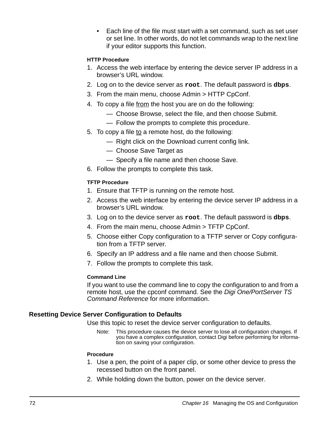• Each line of the file must start with a set command, such as set user or set line. In other words, do not let commands wrap to the next line if your editor supports this function.

# **HTTP Procedure**

- 1. Access the web interface by entering the device server IP address in a browser's URL window.
- 2. Log on to the device server as **root**. The default password is **dbps**.
- 3. From the main menu, choose Admin > HTTP CpConf.
- 4. To copy a file from the host you are on do the following:
	- Choose Browse, select the file, and then choose Submit.
	- Follow the prompts to complete this procedure.
- 5. To copy a file to a remote host, do the following:
	- Right click on the Download current config link.
	- Choose Save Target as
	- Specify a file name and then choose Save.
- 6. Follow the prompts to complete this task.

# **TFTP Procedure**

- 1. Ensure that TFTP is running on the remote host.
- 2. Access the web interface by entering the device server IP address in a browser's URL window.
- 3. Log on to the device server as **root**. The default password is **dbps**.
- 4. From the main menu, choose Admin > TFTP CpConf.
- 5. Choose either Copy configuration to a TFTP server or Copy configuration from a TFTP server.
- 6. Specify an IP address and a file name and then choose Submit.
- 7. Follow the prompts to complete this task.

# **Command Line**

If you want to use the command line to copy the configuration to and from a remote host, use the cpconf command. See the Digi One/PortServer TS Command Reference for more information.

# **Resetting Device Server Configuration to Defaults**

Use this topic to reset the device server configuration to defaults.

Note: This procedure causes the device server to lose all configuration changes. If you have a complex configuration, contact Digi before performing for information on saving your configuration.

# **Procedure**

- 1. Use a pen, the point of a paper clip, or some other device to press the recessed button on the front panel.
- 2. While holding down the button, power on the device server.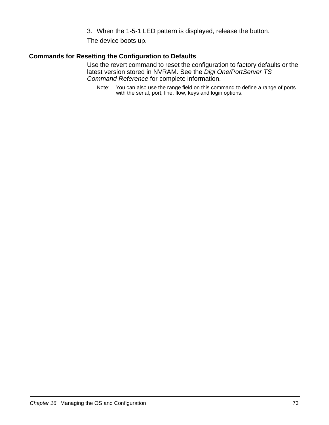3. When the 1-5-1 LED pattern is displayed, release the button.

The device boots up.

# **Commands for Resetting the Configuration to Defaults**

Use the revert command to reset the configuration to factory defaults or the latest version stored in NVRAM. See the Digi One/PortServer TS Command Reference for complete information.

Note: You can also use the range field on this command to define a range of ports with the serial, port, line, flow, keys and login options.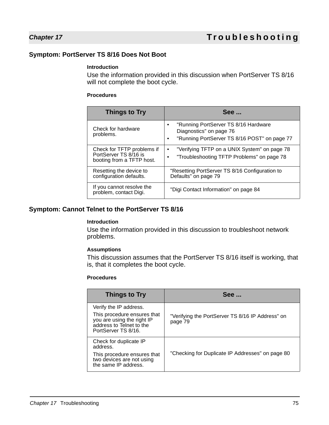# <span id="page-74-0"></span>**Symptom: PortServer TS 8/16 Does Not Boot**

#### **Introduction**

Use the information provided in this discussion when PortServer TS 8/16 will not complete the boot cycle.

#### **Procedures**

| <b>Things to Try</b>                                                             | <b>See </b>                                                                                                                               |
|----------------------------------------------------------------------------------|-------------------------------------------------------------------------------------------------------------------------------------------|
| Check for hardware<br>problems.                                                  | "Running PortServer TS 8/16 Hardware<br>$\bullet$<br>Diagnostics" on page 76<br>"Running PortServer TS 8/16 POST" on page 77<br>$\bullet$ |
| Check for TFTP problems if<br>PortServer TS 8/16 is<br>booting from a TFTP host. | "Verifying TFTP on a UNIX System" on page 78<br>$\bullet$<br>"Troubleshooting TFTP Problems" on page 78<br>$\bullet$                      |
| Resetting the device to<br>configuration defaults.                               | "Resetting PortServer TS 8/16 Configuration to<br>Defaults" on page 79                                                                    |
| If you cannot resolve the<br>problem, contact Digi.                              | "Digi Contact Information" on page 84                                                                                                     |

### <span id="page-74-1"></span>**Symptom: Cannot Telnet to the PortServer TS 8/16**

#### **Introduction**

Use the information provided in this discussion to troubleshoot network problems.

#### **Assumptions**

This discussion assumes that the PortServer TS 8/16 itself is working, that is, that it completes the boot cycle.

#### **Procedures**

| <b>Things to Try</b>                                                                                                                   | <b>See </b>                                                 |
|----------------------------------------------------------------------------------------------------------------------------------------|-------------------------------------------------------------|
| Verify the IP address.<br>This procedure ensures that<br>you are using the right IP<br>address to Telnet to the<br>PortServer TS 8/16. | "Verifying the PortServer TS 8/16 IP Address" on<br>page 79 |
| Check for duplicate IP<br>address.<br>This procedure ensures that<br>two devices are not using<br>the same IP address.                 | "Checking for Duplicate IP Addresses" on page 80            |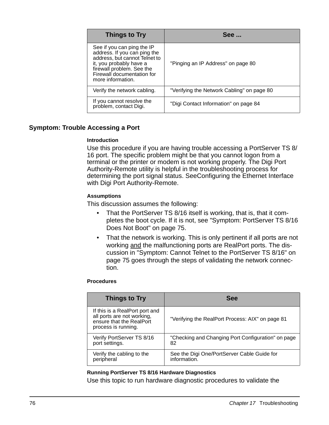| <b>Things to Try</b>                                                                                                                                                                                   | See                                        |
|--------------------------------------------------------------------------------------------------------------------------------------------------------------------------------------------------------|--------------------------------------------|
| See if you can ping the IP<br>address. If you can ping the<br>address, but cannot Telnet to<br>it, you probably have a<br>firewall problem. See the<br>Firewall documentation for<br>more information. | "Pinging an IP Address" on page 80         |
| Verify the network cabling.                                                                                                                                                                            | "Verifying the Network Cabling" on page 80 |
| If you cannot resolve the<br>problem, contact Digi.                                                                                                                                                    | "Digi Contact Information" on page 84      |

# **Symptom: Trouble Accessing a Port**

#### **Introduction**

Use this procedure if you are having trouble accessing a PortServer TS 8/ 16 port. The specific problem might be that you cannot logon from a terminal or the printer or modem is not working properly. The Digi Port Authority-Remote utility is helpful in the troubleshooting process for determining the port signal status. See[Configuring the Ethernet Interface](#page-10-0)  [with Digi Port Authority-Remote](#page-10-0).

#### **Assumptions**

This discussion assumes the following:

- That the PortServer TS 8/16 itself is working, that is, that it completes the boot cycle. If it is not, see ["Symptom: PortServer TS 8/16](#page-74-0)  [Does Not Boot" on page 75.](#page-74-0)
- That the network is working. This is only pertinent if all ports are not working and the malfunctioning ports are RealPort ports. The discussion in ["Symptom: Cannot Telnet to the PortServer TS 8/16" on](#page-74-1)  [page 75](#page-74-1) goes through the steps of validating the network connection.

#### **Procedures**

| <b>Things to Try</b>                                                                                            | <b>See</b>                                         |
|-----------------------------------------------------------------------------------------------------------------|----------------------------------------------------|
| If this is a RealPort port and<br>all ports are not working,<br>ensure that the RealPort<br>process is running. | "Verifying the RealPort Process: AIX" on page 81   |
| Verify PortServer TS 8/16                                                                                       | "Checking and Changing Port Configuration" on page |
| port settings.                                                                                                  | 82                                                 |
| Verify the cabling to the                                                                                       | See the Digi One/PortServer Cable Guide for        |
| peripheral                                                                                                      | information.                                       |

#### <span id="page-75-0"></span>**Running PortServer TS 8/16 Hardware Diagnostics**

Use this topic to run hardware diagnostic procedures to validate the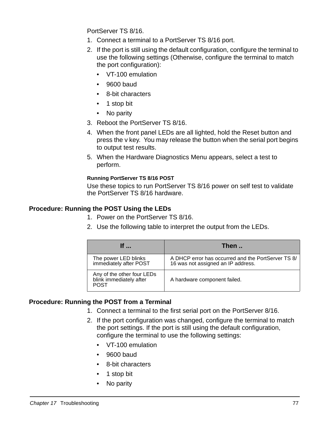PortServer TS 8/16.

- 1. Connect a terminal to a PortServer TS 8/16 port.
- 2. If the port is still using the default configuration, configure the terminal to use the following settings (Otherwise, configure the terminal to match the port configuration):
	- VT-100 emulation
	- 9600 baud
	- 8-bit characters
	- 1 stop bit
	- No parity
- 3. Reboot the PortServer TS 8/16.
- 4. When the front panel LEDs are all lighted, hold the Reset button and press the v key. You may release the button when the serial port begins to output test results.
- 5. When the Hardware Diagnostics Menu appears, select a test to perform.

### <span id="page-76-0"></span>**Running PortServer TS 8/16 POST**

Use these topics to run PortServer TS 8/16 power on self test to validate the PortServer TS 8/16 hardware.

# **Procedure: Running the POST Using the LEDs**

- 1. Power on the PortServer TS 8/16.
- 2. Use the following table to interpret the output from the LEDs.

| If                                                                   | Then                                                                                     |
|----------------------------------------------------------------------|------------------------------------------------------------------------------------------|
| The power LED blinks<br>immediately after POST                       | A DHCP error has occurred and the PortServer TS 8/<br>16 was not assigned an IP address. |
| Any of the other four LEDs<br>blink immediately after<br><b>POST</b> | A hardware component failed.                                                             |

# **Procedure: Running the POST from a Terminal**

- 1. Connect a terminal to the first serial port on the PortServer 8/16.
- 2. If the port configuration was changed, configure the terminal to match the port settings. If the port is still using the default configuration, configure the terminal to use the following settings:
	- VT-100 emulation
	- 9600 baud
	- 8-bit characters
	- 1 stop bit
	- No parity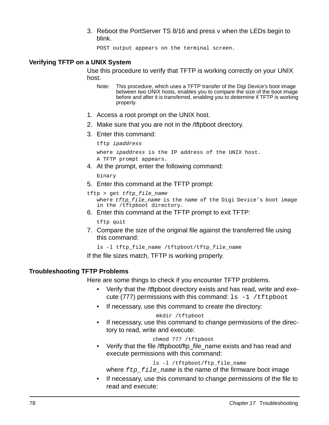3. Reboot the PortServer TS 8/16 and press v when the LEDs begin to blink.

POST output appears on the terminal screen.

### <span id="page-77-0"></span>**Verifying TFTP on a UNIX System**

Use this procedure to verify that TFTP is working correctly on your UNIX host.

- Note: This procedure, which uses a TFTP transfer of the Digi Device's boot image between two UNIX hosts, enables you to compare the size of the boot image before and after it is transferred, enabling you to determine if TFTP is working properly.
- 1. Access a root prompt on the UNIX host.
- 2. Make sure that you are not in the /tftpboot directory.
- 3. Enter this command:

```
tftp ipaddress
where ipaddress is the IP address of the UNIX host.
A TFTP prompt appears.
```
4. At the prompt, enter the following command:

binary

5. Enter this command at the TFTP prompt:

```
tftp > get tftp_file_name
   where tftp file name is the name of the Digi Device's boot image
   in the /tftpboot directory.
```
6. Enter this command at the TFTP prompt to exit TFTP:

tftp quit

7. Compare the size of the original file against the transferred file using this command:

```
ls -l tftp_file_name /tftpboot/tftp_file_name
```
If the file sizes match, TFTP is working properly.

# <span id="page-77-1"></span>**Troubleshooting TFTP Problems**

Here are some things to check if you encounter TFTP problems.

- Verify that the /tftpboot directory exists and has read, write and execute (777) permissions with this command:  $ls -1 /tftpboot$
- If necessary, use this command to create the directory:

#### mkdir /tftpboot

• If necessary, use this command to change permissions of the directory to read, write and execute:

chmod 777 /tftpboot

Verify that the file /tftpboot/ftp\_file\_name exists and has read and execute permissions with this command:

ls -l /tftpboot/ftp\_file\_name

where  $ftp$   $file$  name is the name of the firmware boot image

If necessary, use this command to change permissions of the file to read and execute: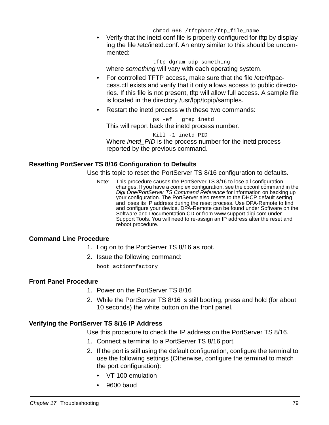chmod 666 /tftpboot/ftp file name

• Verify that the inetd.conf file is properly configured for tftp by displaying the file /etc/inetd.conf. An entry similar to this should be uncommented:

tftp dgram udp something

where *something* will vary with each operating system.

- For controlled TFTP access, make sure that the file /etc/tftpaccess.ctl exists and verify that it only allows access to public directories. If this file is not present, tftp will allow full access. A sample file is located in the directory /usr/lpp/tcpip/samples.
- Restart the inetd process with these two commands:

ps -ef | grep inetd This will report back the inetd process number.

Kill -1 inetd\_PID Where *inetd\_PID* is the process number for the inetd process reported by the previous command.

# <span id="page-78-0"></span>**Resetting PortServer TS 8/16 Configuration to Defaults**

Use this topic to reset the PortServer TS 8/16 configuration to defaults.

Note: This procedure causes the PortServer TS 8/16 to lose all configuration changes. If you have a complex configuration, see the cpconf command in the Digi One/PortServer TS Command Reference for information on backing up your configuration. The PortServer also resets to the DHCP default setting and loses its IP address during the reset process. Use DPA-Remote to find and configure your device. DPA-Remote can be found under Software on the Software and Documentation CD or from www.support.digi.com under Support Tools. You will need to re-assign an IP address after the reset and reboot procedure.

# **Command Line Procedure**

- 1. Log on to the PortServer TS 8/16 as root.
- 2. Issue the following command:

boot action=factory

# **Front Panel Procedure**

- 1. Power on the PortServer TS 8/16
- 2. While the PortServer TS 8/16 is still booting, press and hold (for about 10 seconds) the white button on the front panel.

# <span id="page-78-1"></span>**Verifying the PortServer TS 8/16 IP Address**

Use this procedure to check the IP address on the PortServer TS 8/16.

- 1. Connect a terminal to a PortServer TS 8/16 port.
- 2. If the port is still using the default configuration, configure the terminal to use the following settings (Otherwise, configure the terminal to match the port configuration):
	- VT-100 emulation
	- 9600 baud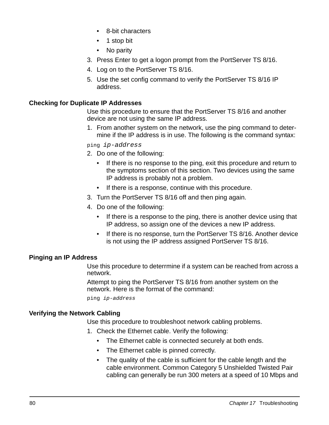- 8-bit characters
- 1 stop bit
- No parity
- 3. Press Enter to get a logon prompt from the PortServer TS 8/16.
- 4. Log on to the PortServer TS 8/16.
- 5. Use the set config command to verify the PortServer TS 8/16 IP address.

# <span id="page-79-0"></span>**Checking for Duplicate IP Addresses**

Use this procedure to ensure that the PortServer TS 8/16 and another device are not using the same IP address.

1. From another system on the network, use the ping command to determine if the IP address is in use. The following is the command syntax:

#### ping ip-address

- 2. Do one of the following:
	- If there is no response to the ping, exit this procedure and return to the symptoms section of this section. Two devices using the same IP address is probably not a problem.
	- If there is a response, continue with this procedure.
- 3. Turn the PortServer TS 8/16 off and then ping again.
- 4. Do one of the following:
	- If there is a response to the ping, there is another device using that IP address, so assign one of the devices a new IP address.
	- If there is no response, turn the PortServer TS 8/16. Another device is not using the IP address assigned PortServer TS 8/16.

# <span id="page-79-1"></span>**Pinging an IP Address**

Use this procedure to deterrmine if a system can be reached from across a network.

Attempt to ping the PortServer TS 8/16 from another system on the network. Here is the format of the command:

ping ip-address

# <span id="page-79-2"></span>**Verifying the Network Cabling**

Use this procedure to troubleshoot network cabling problems.

- 1. Check the Ethernet cable. Verify the following:
	- The Ethernet cable is connected securely at both ends.
	- The Ethernet cable is pinned correctly.
	- The quality of the cable is sufficient for the cable length and the cable environment. Common Category 5 Unshielded Twisted Pair cabling can generally be run 300 meters at a speed of 10 Mbps and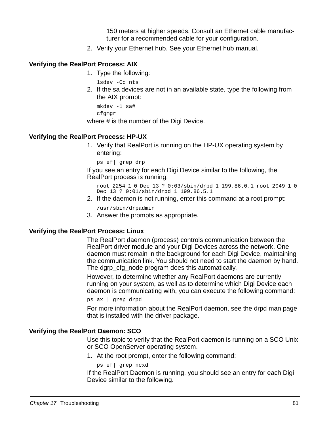150 meters at higher speeds. Consult an Ethernet cable manufacturer for a recommended cable for your configuration.

2. Verify your Ethernet hub. See your Ethernet hub manual.

# <span id="page-80-0"></span>**Verifying the RealPort Process: AIX**

1. Type the following:

lsdev -Cc nts

2. If the sa devices are not in an available state, type the following from the AIX prompt:

```
mkdev -1 sa# 
cfgmgr
```
where # is the number of the Digi Device.

### **Verifying the RealPort Process: HP-UX**

1. Verify that RealPort is running on the HP-UX operating system by entering:

```
ps ef| grep drp
```
If you see an entry for each Digi Device similar to the following, the RealPort process is running.

```
root 2254 1 0 Dec 13 ? 0:03/sbin/drpd 1 199.86.0.1 root 2049 1 0 
Dec 13 ? 0:01/sbin/drpd 1 199.86.5.1
```
2. If the daemon is not running, enter this command at a root prompt:

/usr/sbin/drpadmin

3. Answer the prompts as appropriate.

#### **Verifying the RealPort Process: Linux**

The RealPort daemon (process) controls communication between the RealPort driver module and your Digi Devices across the network. One daemon must remain in the background for each Digi Device, maintaining the communication link. You should not need to start the daemon by hand. The dgrp\_cfg\_node program does this automatically.

However, to determine whether any RealPort daemons are currently running on your system, as well as to determine which Digi Device each daemon is communicating with, you can execute the following command:

```
ps ax | grep drpd
```
For more information about the RealPort daemon, see the drpd man page that is installed with the driver package.

#### **Verifying the RealPort Daemon: SCO**

Use this topic to verify that the RealPort daemon is running on a SCO Unix or SCO OpenServer operating system.

1. At the root prompt, enter the following command:

```
ps ef| grep ncxd
```
If the RealPort Daemon is running, you should see an entry for each Digi Device similar to the following.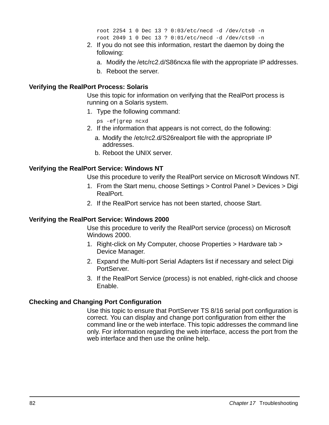```
root 2254 1 0 Dec 13 ? 0:03/etc/necd -d /dev/cts0 -n 
root 2049 1 0 Dec 13 ? 0:01/etc/necd -d /dev/cts0 -n
```
- 2. If you do not see this information, restart the daemon by doing the following:
	- a. Modify the /etc/rc2.d/S86ncxa file with the appropriate IP addresses.
	- b. Reboot the server.

# **Verifying the RealPort Process: Solaris**

Use this topic for information on verifying that the RealPort process is running on a Solaris system.

1. Type the following command:

ps -ef|grep ncxd

- 2. If the information that appears is not correct, do the following:
	- a. Modify the /etc/rc2.d/S26realport file with the appropriate IP addresses.
	- b. Reboot the UNIX server.

# **Verifying the RealPort Service: Windows NT**

Use this procedure to verify the RealPort service on Microsoft Windows NT.

- 1. From the Start menu, choose Settings > Control Panel > Devices > Digi RealPort.
- 2. If the RealPort service has not been started, choose Start.

# **Verifying the RealPort Service: Windows 2000**

Use this procedure to verify the RealPort service (process) on Microsoft Windows 2000.

- 1. Right-click on My Computer, choose Properties > Hardware tab > Device Manager.
- 2. Expand the Multi-port Serial Adapters list if necessary and select Digi PortServer.
- 3. If the RealPort Service (process) is not enabled, right-click and choose Enable.

# <span id="page-81-0"></span>**Checking and Changing Port Configuration**

Use this topic to ensure that PortServer TS 8/16 serial port configuration is correct. You can display and change port configuration from either the command line or the web interface. This topic addresses the command line only. For information regarding the web interface, access the port from the web interface and then use the online help.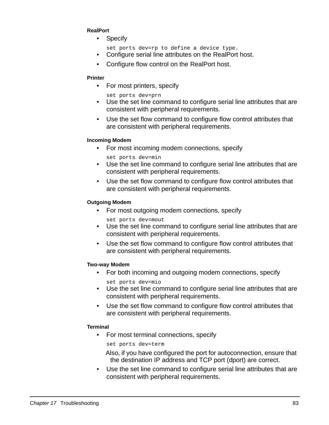#### **RealPort**

- Specify
	- set ports dev=rp to define a device type.
- Configure serial line attributes on the RealPort host.
- Configure flow control on the RealPort host.

#### **Printer**

- For most printers, specify
	- set ports dev=prn
- Use the set line command to configure serial line attributes that are consistent with peripheral requirements.
- Use the set flow command to configure flow control attributes that are consistent with peripheral requirements.

#### **Incoming Modem**

- For most incoming modem connections, specify
	- set ports dev=min
- Use the set line command to configure serial line attributes that are consistent with peripheral requirements.
- Use the set flow command to configure flow control attributes that are consistent with peripheral requirements.

### **Outgoing Modem**

- For most outgoing modem connections, specify
- set ports dev=mout
- Use the set line command to configure serial line attributes that are consistent with peripheral requirements.
- Use the set flow command to configure flow control attributes that are consistent with peripheral requirements.

#### **Two-way Modem**

- For both incoming and outgoing modem connections, specify
- set ports dev=mio
- Use the set line command to configure serial line attributes that are consistent with peripheral requirements.
- Use the set flow command to configure flow control attributes that are consistent with peripheral requirements.

#### **Terminal**

• For most terminal connections, specify

set ports dev=term

- Also, if you have configured the port for autoconnection, ensure that the destination IP address and TCP port (dport) are correct.
- Use the set line command to configure serial line attributes that are consistent with peripheral requirements.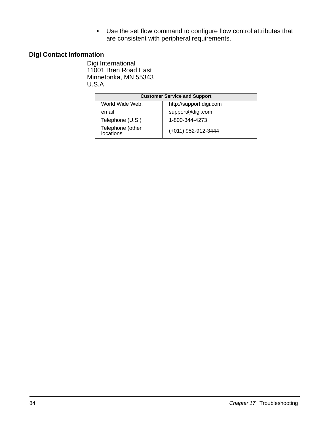• Use the set flow command to configure flow control attributes that are consistent with peripheral requirements.

# <span id="page-83-0"></span>**Digi Contact Information**

Digi International 11001 Bren Road East Minnetonka, MN 55343 U.S.A

| <b>Customer Service and Support</b>        |                     |  |
|--------------------------------------------|---------------------|--|
| http://support.digi.com<br>World Wide Web: |                     |  |
| email                                      | support@digi.com    |  |
| Telephone (U.S.)                           | 1-800-344-4273      |  |
| Telephone (other<br>locations              | (+011) 952-912-3444 |  |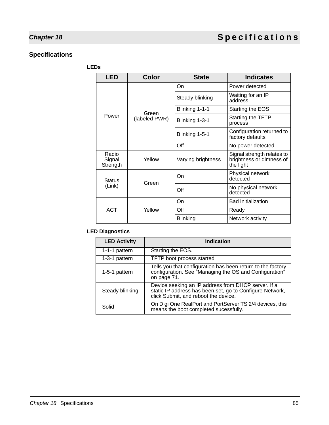# **Specifications**

#### **LEDs**

| <b>LED</b>                  | <b>Color</b>  | <b>State</b>       | <b>Indicates</b>                                                    |
|-----------------------------|---------------|--------------------|---------------------------------------------------------------------|
|                             |               | On                 | Power detected                                                      |
|                             |               | Steady blinking    | Waiting for an IP<br>address.                                       |
|                             | Green         | Blinking 1-1-1     | Starting the EOS                                                    |
| Power                       | (labeled PWR) | Blinking 1-3-1     | Starting the TFTP<br>process                                        |
|                             |               | Blinking 1-5-1     | Configuration returned to<br>factory defaults                       |
|                             |               | Off                | No power detected                                                   |
| Radio<br>Signal<br>Strength | Yellow        | Varying brightness | Signal strength relates to<br>brightness or dimness of<br>the light |
| <b>Status</b><br>(Link)     | Green         | On                 | Physical network<br>detected                                        |
|                             |               | Off                | No physical network<br>detected                                     |
| <b>ACT</b>                  |               | On                 | <b>Bad initialization</b>                                           |
|                             | Yellow        | Off                | Ready                                                               |
|                             |               | <b>Blinking</b>    | Network activity                                                    |

# **LED Diagnostics**

| <b>LED Activity</b> | <b>Indication</b>                                                                                                                                       |
|---------------------|---------------------------------------------------------------------------------------------------------------------------------------------------------|
| 1-1-1 pattern       | Starting the EOS.                                                                                                                                       |
| 1-3-1 pattern       | TFTP boot process started                                                                                                                               |
| 1-5-1 pattern       | Tells you that configuration has been return to the factory<br>configuration. See "Managing the OS and Configuration"<br>on page 71.                    |
| Steady blinking     | Device seeking an IP address from DHCP server. If a<br>static IP address has been set, go to Configure Network,<br>click Submit, and reboot the device. |
| Solid               | On Digi One RealPort and PortServer TS 2/4 devices, this<br>means the boot completed sucessfully.                                                       |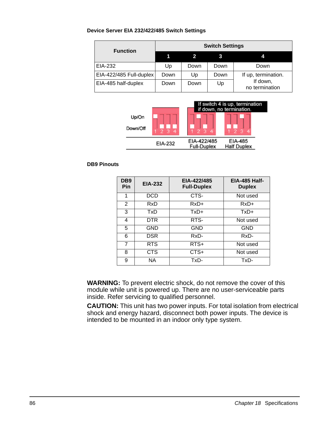#### **Device Server EIA 232/422/485 Switch Settings**

<span id="page-85-1"></span>

| <b>Function</b>         | <b>Switch Settings</b> |      |      |                            |
|-------------------------|------------------------|------|------|----------------------------|
|                         |                        |      |      | 4                          |
| EIA-232                 | Up                     | Down | Down | Down                       |
| EIA-422/485 Full-duplex | Down                   | Up   | Down | If up, termination.        |
| EIA-485 half-duplex     | Down                   | Down | Up   | If down,<br>no termination |



#### **DB9 Pinouts**

<span id="page-85-0"></span>

| DB <sub>9</sub><br><b>Pin</b> | <b>EIA-232</b> | EIA-422/485<br><b>Full-Duplex</b> | <b>EIA-485 Half-</b><br><b>Duplex</b> |
|-------------------------------|----------------|-----------------------------------|---------------------------------------|
| 1                             | <b>DCD</b>     | CTS-                              | Not used                              |
| $\overline{2}$                | RxD            | $RxD+$                            | $RxD+$                                |
| 3                             | TxD            | $TxD+$                            | $TxD+$                                |
| 4                             | DTR            | RTS-                              | Not used                              |
| 5                             | GND            | GND                               | <b>GND</b>                            |
| 6                             | DSR            | RxD-                              | RxD-                                  |
| 7                             | <b>RTS</b>     | $RTS+$                            | Not used                              |
| 8                             | CTS            | $CTS+$                            | Not used                              |
| 9                             | ΝA             | TxD-                              | TxD-                                  |

**WARNING:** To prevent electric shock, do not remove the cover of this module while unit is powered up. There are no user-serviceable parts inside. Refer servicing to qualified personnel.

**CAUTION:** This unit has two power inputs. For total isolation from electrical shock and energy hazard, disconnect both power inputs. The device is intended to be mounted in an indoor only type system.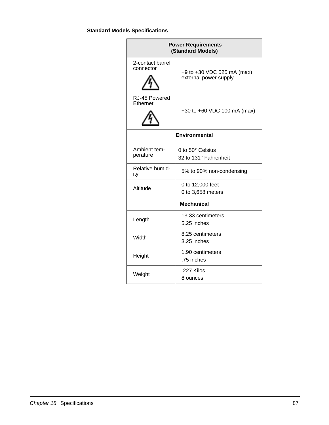# **Standard Models Specifications**

| <b>Power Requirements</b><br>(Standard Models) |                                                     |  |
|------------------------------------------------|-----------------------------------------------------|--|
| 2-contact barrel<br>connector                  | +9 to +30 VDC 525 mA (max)<br>external power supply |  |
| RJ-45 Powered<br>Ethernet                      | +30 to +60 VDC 100 mA (max)                         |  |
| <b>Environmental</b>                           |                                                     |  |
| Ambient tem-<br>perature                       | 0 to 50° Celsius<br>32 to 131° Fahrenheit           |  |
| Relative humid-<br>ity                         | 5% to 90% non-condensing                            |  |
| Altitude                                       | 0 to 12,000 feet<br>0 to 3,658 meters               |  |
|                                                | <b>Mechanical</b>                                   |  |
| Length                                         | 13.33 centimeters<br>5.25 inches                    |  |
| Width                                          | 8.25 centimeters<br>3.25 inches                     |  |
| Height                                         | 1.90 centimeters<br>.75 inches                      |  |
| Weight                                         | .227 Kilos<br>8 ounces                              |  |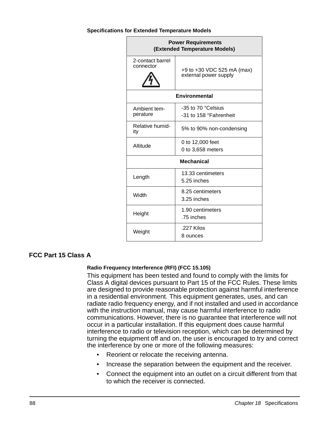#### **Specifications for Extended Temperature Models**

| <b>Power Requirements</b><br>(Extended Temperature Models) |                                                     |  |  |  |  |
|------------------------------------------------------------|-----------------------------------------------------|--|--|--|--|
| 2-contact barrel<br>connector                              | +9 to +30 VDC 525 mA (max)<br>external power supply |  |  |  |  |
|                                                            | <b>Environmental</b>                                |  |  |  |  |
| Ambient tem-<br>perature                                   | -35 to 70 °Celsius<br>-31 to 158 °Fahrenheit        |  |  |  |  |
| Relative humid-<br>ity                                     | 5% to 90% non-condensing                            |  |  |  |  |
| Altitude                                                   | 0 to 12,000 feet<br>0 to 3,658 meters               |  |  |  |  |
|                                                            | <b>Mechanical</b>                                   |  |  |  |  |
| Length                                                     | 13.33 centimeters<br>5.25 inches                    |  |  |  |  |
| Width                                                      | 8.25 centimeters<br>3.25 inches                     |  |  |  |  |
| Height                                                     | 1.90 centimeters<br>.75 inches                      |  |  |  |  |
| Weight                                                     | .227 Kilos<br>8 ounces                              |  |  |  |  |

# **FCC Part 15 Class A**

#### **Radio Frequency Interference (RFI) (FCC 15.105)**

This equipment has been tested and found to comply with the limits for Class A digital devices pursuant to Part 15 of the FCC Rules. These limits are designed to provide reasonable protection against harmful interference in a residential environment. This equipment generates, uses, and can radiate radio frequency energy, and if not installed and used in accordance with the instruction manual, may cause harmful interference to radio communications. However, there is no guarantee that interference will not occur in a particular installation. If this equipment does cause harmful interference to radio or television reception, which can be determined by turning the equipment off and on, the user is encouraged to try and correct the interference by one or more of the following measures:

- Reorient or relocate the receiving antenna.
- Increase the separation between the equipment and the receiver.
- Connect the equipment into an outlet on a circuit different from that to which the receiver is connected.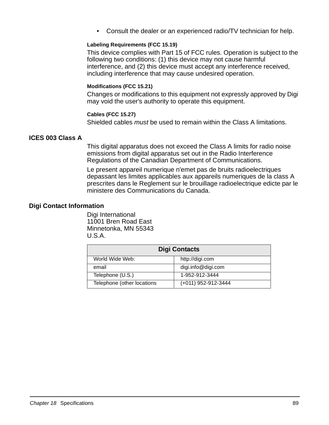• Consult the dealer or an experienced radio/TV technician for help.

#### **Labeling Requirements (FCC 15.19)**

This device complies with Part 15 of FCC rules. Operation is subject to the following two conditions: (1) this device may not cause harmful interference, and (2) this device must accept any interference received, including interference that may cause undesired operation.

#### **Modifications (FCC 15.21)**

Changes or modifications to this equipment not expressly approved by Digi may void the user's authority to operate this equipment.

#### **Cables (FCC 15.27)**

Shielded cables must be used to remain within the Class A limitations.

### **ICES 003 Class A**

This digital apparatus does not exceed the Class A limits for radio noise emissions from digital apparatus set out in the Radio Interference Regulations of the Canadian Department of Communications.

Le present appareil numerique n'emet pas de bruits radioelectriques depassant les limites applicables aux appareils numeriques de la class A prescrites dans le Reglement sur le brouillage radioelectrique edicte par le ministere des Communications du Canada.

#### **Digi Contact Information**

Digi International 11001 Bren Road East Minnetonka, MN 55343 U.S.A.

| <b>Digi Contacts</b>       |                     |
|----------------------------|---------------------|
| World Wide Web:            | http://digi.com     |
| email                      | digi.info@digi.com  |
| Telephone (U.S.)           | 1-952-912-3444      |
| Telephone (other locations | (+011) 952-912-3444 |